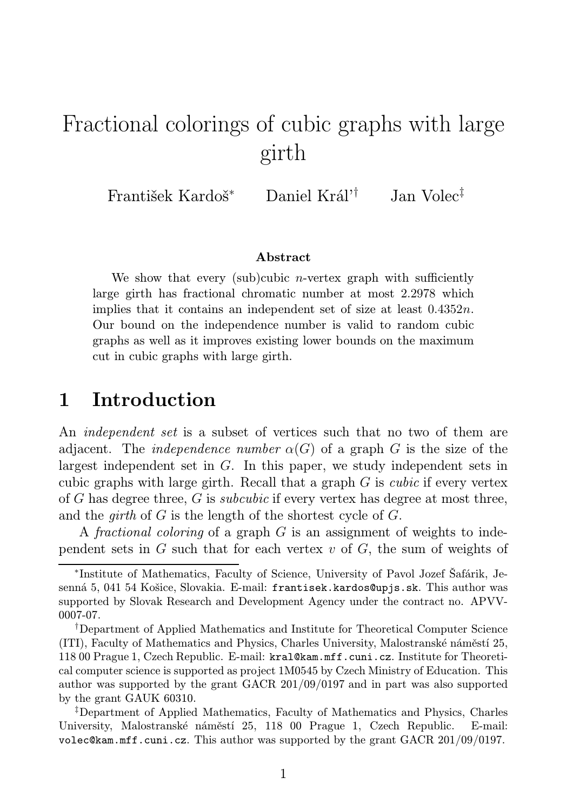# Fractional colorings of cubic graphs with large girth

František Kardoš<sup>∗</sup> Daniel Král'† Jan Volec‡

#### Abstract

We show that every (sub)cubic *n*-vertex graph with sufficiently large girth has fractional chromatic number at most 2.2978 which implies that it contains an independent set of size at least 0.4352n. Our bound on the independence number is valid to random cubic graphs as well as it improves existing lower bounds on the maximum cut in cubic graphs with large girth.

### 1 Introduction

An *independent set* is a subset of vertices such that no two of them are adjacent. The *independence number*  $\alpha(G)$  of a graph G is the size of the largest independent set in G. In this paper, we study independent sets in cubic graphs with large girth. Recall that a graph  $G$  is *cubic* if every vertex of G has degree three, G is subcubic if every vertex has degree at most three, and the *girth* of  $G$  is the length of the shortest cycle of  $G$ .

A fractional coloring of a graph G is an assignment of weights to independent sets in  $G$  such that for each vertex  $v$  of  $G$ , the sum of weights of

<sup>∗</sup> Institute of Mathematics, Faculty of Science, University of Pavol Jozef Šafárik, Jesenná 5, 041 54 Košice, Slovakia. E-mail: frantisek.kardos@upjs.sk. This author was supported by Slovak Research and Development Agency under the contract no. APVV-0007-07.

<sup>†</sup>Department of Applied Mathematics and Institute for Theoretical Computer Science (ITI), Faculty of Mathematics and Physics, Charles University, Malostranské náměstí 25, 118 00 Prague 1, Czech Republic. E-mail: kral@kam.mff.cuni.cz. Institute for Theoretical computer science is supported as project 1M0545 by Czech Ministry of Education. This author was supported by the grant GACR 201/09/0197 and in part was also supported by the grant GAUK 60310.

<sup>‡</sup>Department of Applied Mathematics, Faculty of Mathematics and Physics, Charles University, Malostranské náměstí 25, 118 00 Prague 1, Czech Republic. E-mail: volec@kam.mff.cuni.cz. This author was supported by the grant  $GACR$  201/09/0197.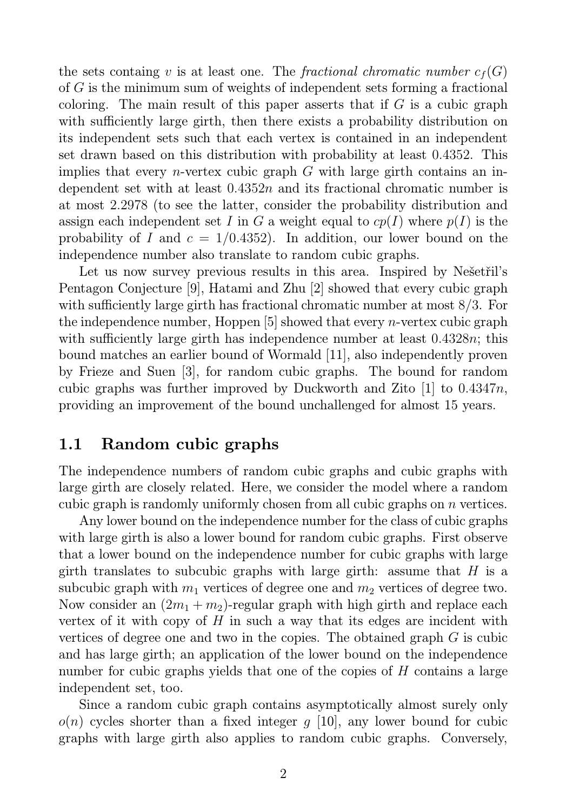the sets containg v is at least one. The *fractional chromatic number*  $c_f(G)$ of G is the minimum sum of weights of independent sets forming a fractional coloring. The main result of this paper asserts that if  $G$  is a cubic graph with sufficiently large girth, then there exists a probability distribution on its independent sets such that each vertex is contained in an independent set drawn based on this distribution with probability at least 0.4352. This implies that every *n*-vertex cubic graph  $G$  with large girth contains an independent set with at least  $0.4352n$  and its fractional chromatic number is at most 2.2978 (to see the latter, consider the probability distribution and assign each independent set I in G a weight equal to  $cp(I)$  where  $p(I)$  is the probability of I and  $c = 1/0.4352$ . In addition, our lower bound on the independence number also translate to random cubic graphs.

Let us now survey previous results in this area. Inspired by Nešetřil's Pentagon Conjecture [9], Hatami and Zhu [2] showed that every cubic graph with sufficiently large girth has fractional chromatic number at most 8/3. For the independence number, Hoppen  $|5|$  showed that every *n*-vertex cubic graph with sufficiently large girth has independence number at least 0.4328*n*; this bound matches an earlier bound of Wormald [11], also independently proven by Frieze and Suen [3], for random cubic graphs. The bound for random cubic graphs was further improved by Duckworth and Zito [1] to 0.4347n, providing an improvement of the bound unchallenged for almost 15 years.

#### 1.1 Random cubic graphs

The independence numbers of random cubic graphs and cubic graphs with large girth are closely related. Here, we consider the model where a random cubic graph is randomly uniformly chosen from all cubic graphs on n vertices.

Any lower bound on the independence number for the class of cubic graphs with large girth is also a lower bound for random cubic graphs. First observe that a lower bound on the independence number for cubic graphs with large girth translates to subcubic graphs with large girth: assume that  $H$  is a subcubic graph with  $m_1$  vertices of degree one and  $m_2$  vertices of degree two. Now consider an  $(2m_1 + m_2)$ -regular graph with high girth and replace each vertex of it with copy of  $H$  in such a way that its edges are incident with vertices of degree one and two in the copies. The obtained graph  $G$  is cubic and has large girth; an application of the lower bound on the independence number for cubic graphs yields that one of the copies of H contains a large independent set, too.

Since a random cubic graph contains asymptotically almost surely only  $o(n)$  cycles shorter than a fixed integer q [10], any lower bound for cubic graphs with large girth also applies to random cubic graphs. Conversely,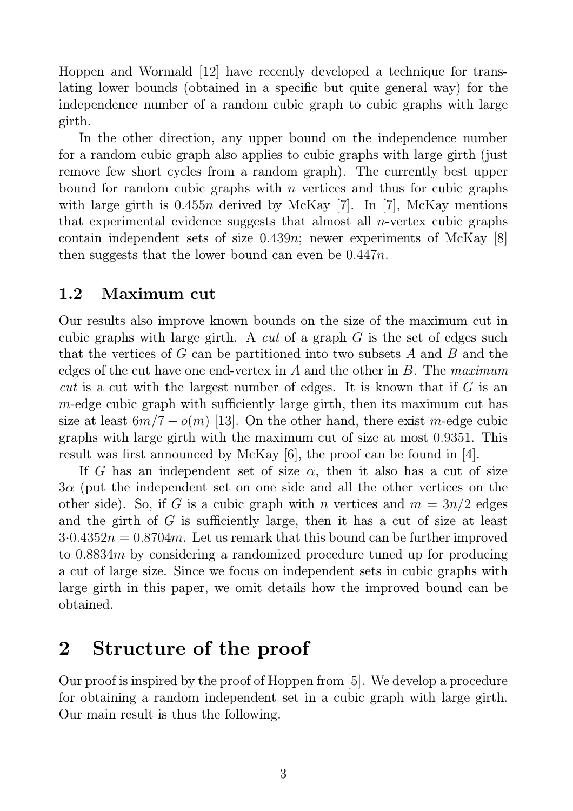Hoppen and Wormald [12] have recently developed a technique for translating lower bounds (obtained in a specific but quite general way) for the independence number of a random cubic graph to cubic graphs with large girth.

In the other direction, any upper bound on the independence number for a random cubic graph also applies to cubic graphs with large girth (just remove few short cycles from a random graph). The currently best upper bound for random cubic graphs with n vertices and thus for cubic graphs with large girth is  $0.455n$  derived by McKay [7]. In [7], McKay mentions that experimental evidence suggests that almost all *n*-vertex cubic graphs contain independent sets of size  $0.439n$ ; newer experiments of McKay [8] then suggests that the lower bound can even be 0.447n.

#### 1.2 Maximum cut

Our results also improve known bounds on the size of the maximum cut in cubic graphs with large girth. A cut of a graph G is the set of edges such that the vertices of G can be partitioned into two subsets A and B and the edges of the cut have one end-vertex in A and the other in B. The maximum cut is a cut with the largest number of edges. It is known that if  $G$  is an  $m$ -edge cubic graph with sufficiently large girth, then its maximum cut has size at least  $6m/7 - o(m)$  [13]. On the other hand, there exist m-edge cubic graphs with large girth with the maximum cut of size at most 0.9351. This result was first announced by McKay [6], the proof can be found in [4].

If G has an independent set of size  $\alpha$ , then it also has a cut of size  $3\alpha$  (put the independent set on one side and all the other vertices on the other side). So, if G is a cubic graph with n vertices and  $m = 3n/2$  edges and the girth of G is sufficiently large, then it has a cut of size at least  $3.0.4352n = 0.8704m$ . Let us remark that this bound can be further improved to 0.8834m by considering a randomized procedure tuned up for producing a cut of large size. Since we focus on independent sets in cubic graphs with large girth in this paper, we omit details how the improved bound can be obtained.

## 2 Structure of the proof

Our proof is inspired by the proof of Hoppen from [5]. We develop a procedure for obtaining a random independent set in a cubic graph with large girth. Our main result is thus the following.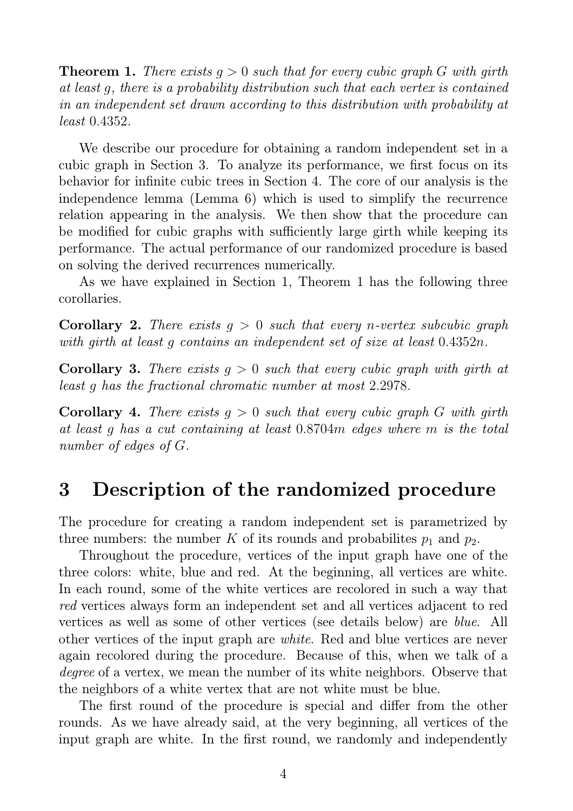**Theorem 1.** There exists  $q > 0$  such that for every cubic graph G with girth at least g, there is a probability distribution such that each vertex is contained in an independent set drawn according to this distribution with probability at least 0.4352.

We describe our procedure for obtaining a random independent set in a cubic graph in Section 3. To analyze its performance, we first focus on its behavior for infinite cubic trees in Section 4. The core of our analysis is the independence lemma (Lemma 6) which is used to simplify the recurrence relation appearing in the analysis. We then show that the procedure can be modified for cubic graphs with sufficiently large girth while keeping its performance. The actual performance of our randomized procedure is based on solving the derived recurrences numerically.

As we have explained in Section 1, Theorem 1 has the following three corollaries.

**Corollary 2.** There exists  $q > 0$  such that every n-vertex subcubic graph with girth at least g contains an independent set of size at least 0.4352n.

**Corollary 3.** There exists  $q > 0$  such that every cubic graph with girth at least g has the fractional chromatic number at most 2.2978.

**Corollary 4.** There exists  $q > 0$  such that every cubic graph G with girth at least g has a cut containing at least 0.8704m edges where m is the total number of edges of G.

## 3 Description of the randomized procedure

The procedure for creating a random independent set is parametrized by three numbers: the number K of its rounds and probabilites  $p_1$  and  $p_2$ .

Throughout the procedure, vertices of the input graph have one of the three colors: white, blue and red. At the beginning, all vertices are white. In each round, some of the white vertices are recolored in such a way that red vertices always form an independent set and all vertices adjacent to red vertices as well as some of other vertices (see details below) are blue. All other vertices of the input graph are white. Red and blue vertices are never again recolored during the procedure. Because of this, when we talk of a degree of a vertex, we mean the number of its white neighbors. Observe that the neighbors of a white vertex that are not white must be blue.

The first round of the procedure is special and differ from the other rounds. As we have already said, at the very beginning, all vertices of the input graph are white. In the first round, we randomly and independently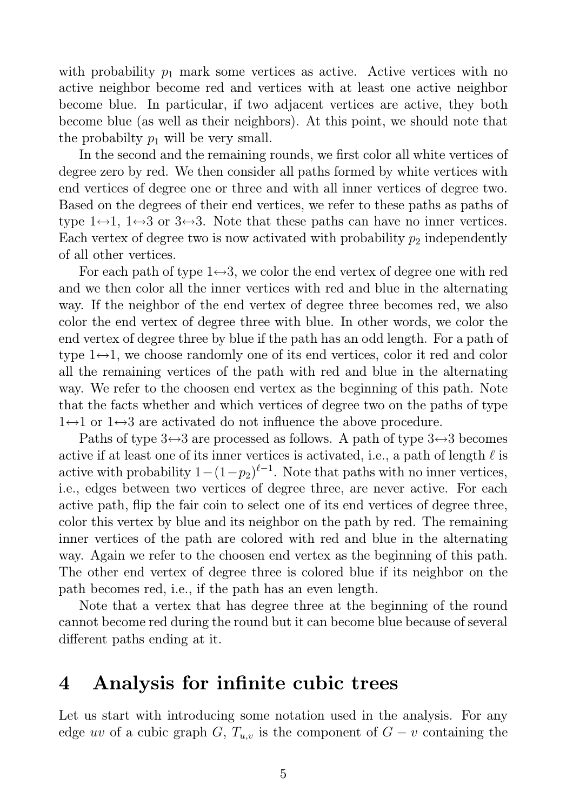with probability  $p_1$  mark some vertices as active. Active vertices with no active neighbor become red and vertices with at least one active neighbor become blue. In particular, if two adjacent vertices are active, they both become blue (as well as their neighbors). At this point, we should note that the probabilty  $p_1$  will be very small.

In the second and the remaining rounds, we first color all white vertices of degree zero by red. We then consider all paths formed by white vertices with end vertices of degree one or three and with all inner vertices of degree two. Based on the degrees of their end vertices, we refer to these paths as paths of type  $1 \leftrightarrow 1$ ,  $1 \leftrightarrow 3$  or  $3 \leftrightarrow 3$ . Note that these paths can have no inner vertices. Each vertex of degree two is now activated with probability  $p_2$  independently of all other vertices.

For each path of type  $1 \leftrightarrow 3$ , we color the end vertex of degree one with red and we then color all the inner vertices with red and blue in the alternating way. If the neighbor of the end vertex of degree three becomes red, we also color the end vertex of degree three with blue. In other words, we color the end vertex of degree three by blue if the path has an odd length. For a path of type  $1 \leftrightarrow 1$ , we choose randomly one of its end vertices, color it red and color all the remaining vertices of the path with red and blue in the alternating way. We refer to the choosen end vertex as the beginning of this path. Note that the facts whether and which vertices of degree two on the paths of type  $1 \leftrightarrow 1$  or  $1 \leftrightarrow 3$  are activated do not influence the above procedure.

Paths of type  $3 \leftrightarrow 3$  are processed as follows. A path of type  $3 \leftrightarrow 3$  becomes active if at least one of its inner vertices is activated, i.e., a path of length  $\ell$  is active with probability  $1-(1-p_2)^{\ell-1}$ . Note that paths with no inner vertices, i.e., edges between two vertices of degree three, are never active. For each active path, flip the fair coin to select one of its end vertices of degree three, color this vertex by blue and its neighbor on the path by red. The remaining inner vertices of the path are colored with red and blue in the alternating way. Again we refer to the choosen end vertex as the beginning of this path. The other end vertex of degree three is colored blue if its neighbor on the path becomes red, i.e., if the path has an even length.

Note that a vertex that has degree three at the beginning of the round cannot become red during the round but it can become blue because of several different paths ending at it.

### 4 Analysis for infinite cubic trees

Let us start with introducing some notation used in the analysis. For any edge uv of a cubic graph G,  $T_{u,v}$  is the component of  $G - v$  containing the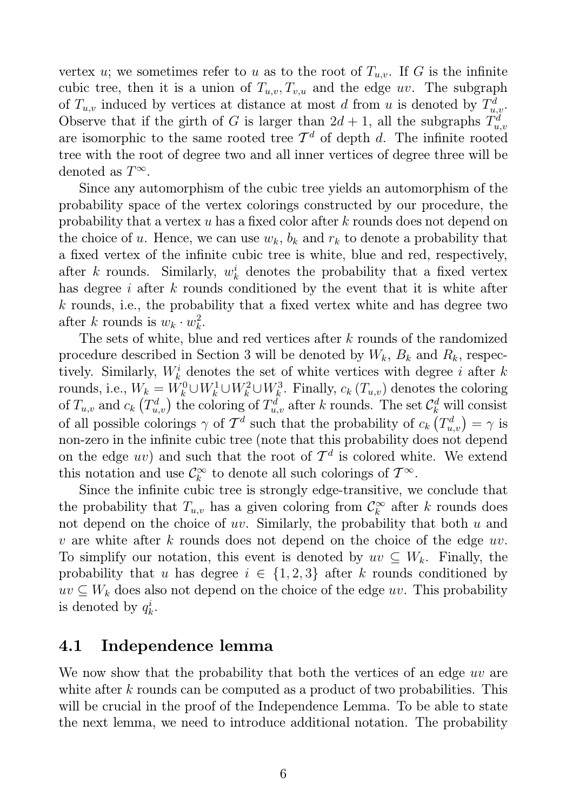vertex u; we sometimes refer to u as to the root of  $T_{u,v}$ . If G is the infinite cubic tree, then it is a union of  $T_{u,v}, T_{v,u}$  and the edge uv. The subgraph of  $T_{u,v}$  induced by vertices at distance at most d from u is denoted by  $T_{u,v}^d$ . Observe that if the girth of G is larger than  $2d+1$ , all the subgraphs  $T_u^d$  $u, v$ are isomorphic to the same rooted tree  $\mathcal{T}^d$  of depth d. The infinite rooted tree with the root of degree two and all inner vertices of degree three will be denoted as  $T^{\infty}$ .

Since any automorphism of the cubic tree yields an automorphism of the probability space of the vertex colorings constructed by our procedure, the probability that a vertex u has a fixed color after k rounds does not depend on the choice of u. Hence, we can use  $w_k$ ,  $b_k$  and  $r_k$  to denote a probability that a fixed vertex of the infinite cubic tree is white, blue and red, respectively, after k rounds. Similarly,  $w_k^i$  denotes the probability that a fixed vertex has degree i after k rounds conditioned by the event that it is white after k rounds, i.e., the probability that a fixed vertex white and has degree two after k rounds is  $w_k \cdot w_k^2$  $\frac{2}{k}$ .

The sets of white, blue and red vertices after  $k$  rounds of the randomized procedure described in Section 3 will be denoted by  $W_k$ ,  $B_k$  and  $R_k$ , respectively. Similarly,  $W_k^i$  denotes the set of white vertices with degree i after k rounds, i.e.,  $W_k = W_k^0 \cup W_k^1 \cup W_k^2 \cup W_k^3$ . Finally,  $c_k(T_{u,v})$  denotes the coloring of  $T_{u,v}$  and  $c_k$   $(T_{u,v}^d)$  the coloring of  $T_{u,v}^d$  after k rounds. The set  $\mathcal{C}_k^d$  will consist of all possible colorings  $\gamma$  of  $\mathcal{T}^d$  such that the probability of  $c_k(T_{u,v}^d) = \gamma$  is non-zero in the infinite cubic tree (note that this probability does not depend on the edge  $uv$ ) and such that the root of  $\mathcal{T}^d$  is colored white. We extend this notation and use  $\mathcal{C}_k^{\infty}$  $\int_{k}^{\infty}$  to denote all such colorings of  $T^{\infty}$ .

Since the infinite cubic tree is strongly edge-transitive, we conclude that the probability that  $T_{u,v}$  has a given coloring from  $\mathcal{C}_k^{\infty}$  $\kappa$ <sup> $\infty$ </sup> after *k* rounds does not depend on the choice of  $uv$ . Similarly, the probability that both  $u$  and v are white after k rounds does not depend on the choice of the edge  $uv$ . To simplify our notation, this event is denoted by  $uv \subseteq W_k$ . Finally, the probability that u has degree  $i \in \{1,2,3\}$  after k rounds conditioned by  $uv \subseteq W_k$  does also not depend on the choice of the edge uv. This probability is denoted by  $q_k^i$  $\frac{i}{k}$ .

#### 4.1 Independence lemma

We now show that the probability that both the vertices of an edge uv are white after k rounds can be computed as a product of two probabilities. This will be crucial in the proof of the Independence Lemma. To be able to state the next lemma, we need to introduce additional notation. The probability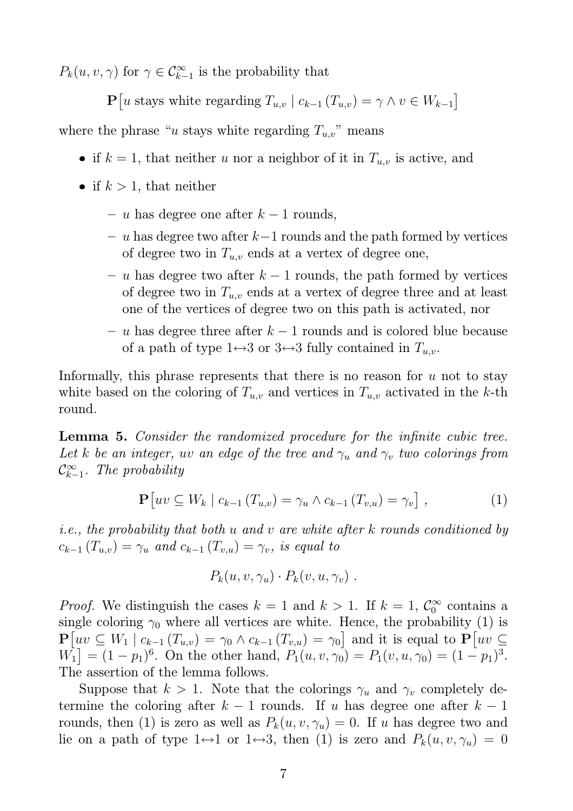$P_k(u, v, \gamma)$  for  $\gamma \in C_{k-1}^{\infty}$  is the probability that

 $\mathbf{P}[u \text{ stays white regarding } T_{u,v} \mid c_{k-1} (T_{u,v}) = \gamma \wedge v \in W_{k-1}]$ 

where the phrase "u stays white regarding  $T_{u,v}$ " means

- if  $k = 1$ , that neither u nor a neighbor of it in  $T_{u,v}$  is active, and
- if  $k > 1$ , that neither
	- u has degree one after  $k-1$  rounds,
	- $u$  has degree two after  $k-1$  rounds and the path formed by vertices of degree two in  $T_{u,v}$  ends at a vertex of degree one,
	- $u$  has degree two after  $k − 1$  rounds, the path formed by vertices of degree two in  $T_{u,v}$  ends at a vertex of degree three and at least one of the vertices of degree two on this path is activated, nor
	- $u$  has degree three after  $k − 1$  rounds and is colored blue because of a path of type  $1 \leftrightarrow 3$  or  $3 \leftrightarrow 3$  fully contained in  $T_{u,v}$ .

Informally, this phrase represents that there is no reason for  $u$  not to stay white based on the coloring of  $T_{u,v}$  and vertices in  $T_{u,v}$  activated in the k-th round.

Lemma 5. Consider the randomized procedure for the infinite cubic tree. Let k be an integer, uv an edge of the tree and  $\gamma_u$  and  $\gamma_v$  two colorings from  $\mathcal{C}^{\infty}_{k-}$  $\sum_{k=1}^{\infty}$ . The probability

$$
\mathbf{P}\left[uv \subseteq W_k \mid c_{k-1}\left(T_{u,v}\right) = \gamma_u \wedge c_{k-1}\left(T_{v,u}\right) = \gamma_v\right],\tag{1}
$$

i.e., the probability that both u and v are white after k rounds conditioned by  $c_{k-1} (T_{u,v}) = \gamma_u$  and  $c_{k-1} (T_{v,u}) = \gamma_v$ , is equal to

$$
P_k(u, v, \gamma_u) \cdot P_k(v, u, \gamma_v) \ .
$$

*Proof.* We distinguish the cases  $k = 1$  and  $k > 1$ . If  $k = 1, \mathcal{C}_0^{\infty}$  $\int_0^\infty$  contains a single coloring  $\gamma_0$  where all vertices are white. Hence, the probability (1) is  $\mathbf{P}\left[ uv \subseteq W_1 \mid c_{k-1}(T_{u,v}) = \gamma_0 \wedge c_{k-1}(T_{v,u}) = \gamma_0 \right]$  and it is equal to  $\mathbf{P}\left[ uv \subseteq$  $W_1 = (1 - p_1)^6$ . On the other hand,  $P_1(u, v, \gamma_0) = P_1(v, u, \gamma_0) = (1 - p_1)^3$ . The assertion of the lemma follows.

Suppose that  $k > 1$ . Note that the colorings  $\gamma_u$  and  $\gamma_v$  completely determine the coloring after  $k-1$  rounds. If u has degree one after  $k-1$ rounds, then (1) is zero as well as  $P_k(u, v, \gamma_u) = 0$ . If u has degree two and lie on a path of type  $1 \leftrightarrow 1$  or  $1 \leftrightarrow 3$ , then (1) is zero and  $P_k(u, v, \gamma_u) = 0$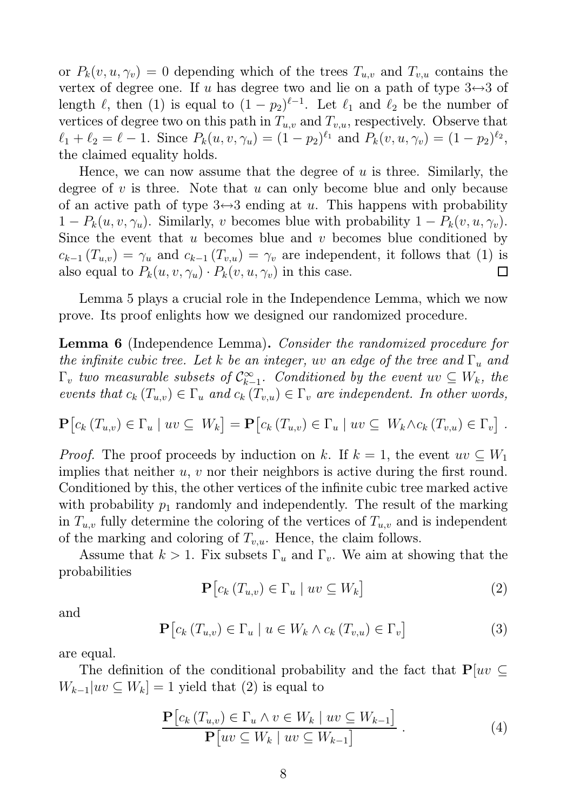or  $P_k(v, u, \gamma_v) = 0$  depending which of the trees  $T_{u,v}$  and  $T_{v,u}$  contains the vertex of degree one. If u has degree two and lie on a path of type  $3 \leftrightarrow 3$  of length  $\ell$ , then (1) is equal to  $(1 - p_2)^{\ell-1}$ . Let  $\ell_1$  and  $\ell_2$  be the number of vertices of degree two on this path in  $T_{u,v}$  and  $T_{v,u}$ , respectively. Observe that  $\ell_1 + \ell_2 = \ell - 1$ . Since  $P_k(u, v, \gamma_u) = (1 - p_2)^{\ell_1}$  and  $P_k(v, u, \gamma_v) = (1 - p_2)^{\ell_2}$ , the claimed equality holds.

Hence, we can now assume that the degree of  $u$  is three. Similarly, the degree of  $v$  is three. Note that  $u$  can only become blue and only because of an active path of type  $3 \leftrightarrow 3$  ending at u. This happens with probability  $1 - P_k(u, v, \gamma_u)$ . Similarly, v becomes blue with probability  $1 - P_k(v, u, \gamma_v)$ . Since the event that u becomes blue and v becomes blue conditioned by  $c_{k-1}(T_{u,v}) = \gamma_u$  and  $c_{k-1}(T_{v,u}) = \gamma_v$  are independent, it follows that (1) is also equal to  $P_k(u, v, \gamma_u) \cdot P_k(v, u, \gamma_v)$  in this case. ⊔

Lemma 5 plays a crucial role in the Independence Lemma, which we now prove. Its proof enlights how we designed our randomized procedure.

Lemma 6 (Independence Lemma). Consider the randomized procedure for the infinite cubic tree. Let k be an integer, uv an edge of the tree and  $\Gamma_u$  and  $\Gamma_v$  two measurable subsets of  $\mathcal{C}^{\infty}_{k-1}$  $\sum_{k=1}^{\infty}$ . Conditioned by the event  $uv \subseteq W_k$ , the events that  $c_k(T_{u,v}) \in \Gamma_u$  and  $c_k(T_{v,u}) \in \Gamma_v$  are independent. In other words,

$$
\mathbf{P}\left[c_k(T_{u,v}) \in \Gamma_u \mid uv \subseteq W_k\right] = \mathbf{P}\left[c_k(T_{u,v}) \in \Gamma_u \mid uv \subseteq W_k \wedge c_k(T_{v,u}) \in \Gamma_v\right].
$$

*Proof.* The proof proceeds by induction on k. If  $k = 1$ , the event  $uv \subseteq W_1$ implies that neither u, v nor their neighbors is active during the first round. Conditioned by this, the other vertices of the infinite cubic tree marked active with probability  $p_1$  randomly and independently. The result of the marking in  $T_{u,v}$  fully determine the coloring of the vertices of  $T_{u,v}$  and is independent of the marking and coloring of  $T_{v,u}$ . Hence, the claim follows.

Assume that  $k > 1$ . Fix subsets  $\Gamma_u$  and  $\Gamma_v$ . We aim at showing that the probabilities

$$
\mathbf{P}\left[c_k\left(T_{u,v}\right) \in \Gamma_u \mid uv \subseteq W_k\right] \tag{2}
$$

and

$$
\mathbf{P}\left[c_k\left(T_{u,v}\right) \in \Gamma_u \mid u \in W_k \land c_k\left(T_{v,u}\right) \in \Gamma_v\right]
$$
\n
$$
(3)
$$

are equal.

The definition of the conditional probability and the fact that  $P|uv \subseteq$  $W_{k-1}|uv \subseteq W_k] = 1$  yield that (2) is equal to

$$
\frac{\mathbf{P}\left[c_k\left(T_{u,v}\right) \in \Gamma_u \land v \in W_k \mid uv \subseteq W_{k-1}\right]}{\mathbf{P}\left[uv \subseteq W_k \mid uv \subseteq W_{k-1}\right]} \tag{4}
$$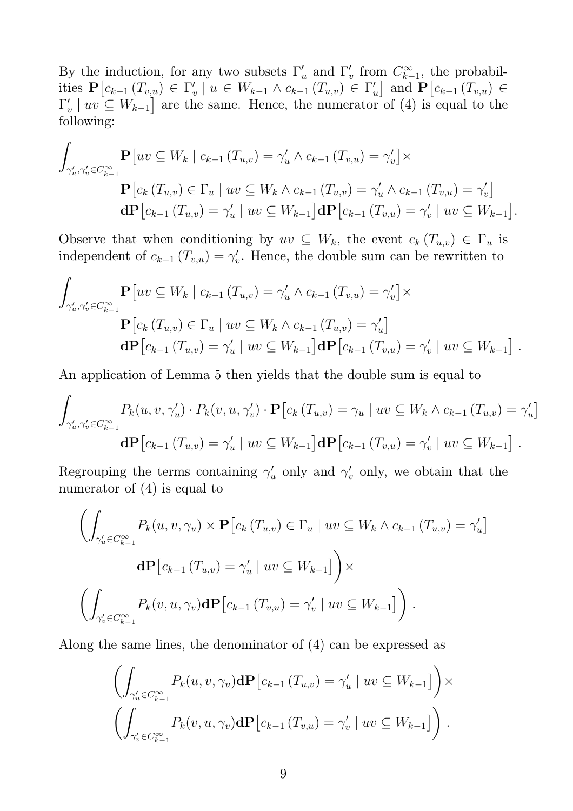By the induction, for any two subsets  $\Gamma'_u$  and  $\Gamma'_v$  $'_{v}$  from  $C_{k-}^{\infty}$  $\sum_{k=1}^{\infty}$ , the probabilities  $\mathbf{P}[c_{k-1}(T_{v,u}) \in \Gamma'_v]$  $'_{v}$  |  $u \in W_{k-1} \wedge c_{k-1} (T_{u,v}) \in \Gamma'_{v}$  $\mathbf{F}_{u}$  and  $\mathbf{P}\left[c_{k-1}\left(T_{v,u}\right)\in\mathbb{R}\right]$  $\Gamma_i'$  $V_v \mid uv \subseteq W_{k-1}$  are the same. Hence, the numerator of (4) is equal to the following:

$$
\int_{\gamma'_u, \gamma'_v \in C_{k-1}^{\infty}} \mathbf{P}[uv \subseteq W_k \mid c_{k-1} (T_{u,v}) = \gamma'_u \wedge c_{k-1} (T_{v,u}) = \gamma'_v] \times \n\mathbf{P}[c_k (T_{u,v}) \in \Gamma_u \mid uv \subseteq W_k \wedge c_{k-1} (T_{u,v}) = \gamma'_u \wedge c_{k-1} (T_{v,u}) = \gamma'_v] \n\mathbf{d}\mathbf{P}[c_{k-1} (T_{u,v}) = \gamma'_u \mid uv \subseteq W_{k-1}] \mathbf{d}\mathbf{P}[c_{k-1} (T_{v,u}) = \gamma'_v \mid uv \subseteq W_{k-1}].
$$

Observe that when conditioning by  $uv \subseteq W_k$ , the event  $c_k(T_{u,v}) \in \Gamma_u$  is independent of  $c_{k-1}$   $(T_{v,u}) = \gamma'_v$  $v'$ . Hence, the double sum can be rewritten to

$$
\int_{\gamma'_u, \gamma'_v \in C_{k-1}^{\infty}} \mathbf{P}[uv \subseteq W_k | c_{k-1} (T_{u,v}) = \gamma'_u \wedge c_{k-1} (T_{v,u}) = \gamma'_v] \times \n\mathbf{P}[c_k (T_{u,v}) \in \Gamma_u | uv \subseteq W_k \wedge c_{k-1} (T_{u,v}) = \gamma'_u] \n\mathbf{d}\mathbf{P}[c_{k-1} (T_{u,v}) = \gamma'_u | uv \subseteq W_{k-1}] \mathbf{d}\mathbf{P}[c_{k-1} (T_{v,u}) = \gamma'_v | uv \subseteq W_{k-1}].
$$

An application of Lemma 5 then yields that the double sum is equal to

$$
\int_{\gamma'_u,\gamma'_v \in C_{k-1}^{\infty}} P_k(u,v,\gamma'_u) \cdot P_k(v,u,\gamma'_v) \cdot \mathbf{P}\big[c_k(T_{u,v}) = \gamma_u \mid uv \subseteq W_k \wedge c_{k-1}(T_{u,v}) = \gamma'_u\big]
$$
  

$$
\mathbf{d}\mathbf{P}\big[c_{k-1}(T_{u,v}) = \gamma'_u \mid uv \subseteq W_{k-1}\big] \mathbf{d}\mathbf{P}\big[c_{k-1}(T_{v,u}) = \gamma'_v \mid uv \subseteq W_{k-1}\big].
$$

Regrouping the terms containing  $\gamma'_u$  only and  $\gamma'_v$  only, we obtain that the numerator of (4) is equal to

$$
\left(\int_{\gamma'_u \in C_{k-1}^{\infty}} P_k(u, v, \gamma_u) \times \mathbf{P}\big[c_k(T_{u,v}) \in \Gamma_u \mid uv \subseteq W_k \wedge c_{k-1}(T_{u,v}) = \gamma'_u\big] \right)
$$
  

$$
\mathbf{d}\mathbf{P}\big[c_{k-1}(T_{u,v}) = \gamma'_u \mid uv \subseteq W_{k-1}\big]\bigg) \times
$$
  

$$
\left(\int_{\gamma'_v \in C_{k-1}^{\infty}} P_k(v, u, \gamma_v) \mathbf{d}\mathbf{P}\big[c_{k-1}(T_{v,u}) = \gamma'_v \mid uv \subseteq W_{k-1}\big]\right).
$$

Along the same lines, the denominator of (4) can be expressed as

$$
\left(\int_{\gamma'_u \in C_{k-1}^{\infty}} P_k(u, v, \gamma_u) d\mathbf{P} \left[c_{k-1} (T_{u,v}) = \gamma'_u \mid uv \subseteq W_{k-1}\right]\right) \times \left(\int_{\gamma'_v \in C_{k-1}^{\infty}} P_k(v, u, \gamma_v) d\mathbf{P} \left[c_{k-1} (T_{v,u}) = \gamma'_v \mid uv \subseteq W_{k-1}\right]\right).
$$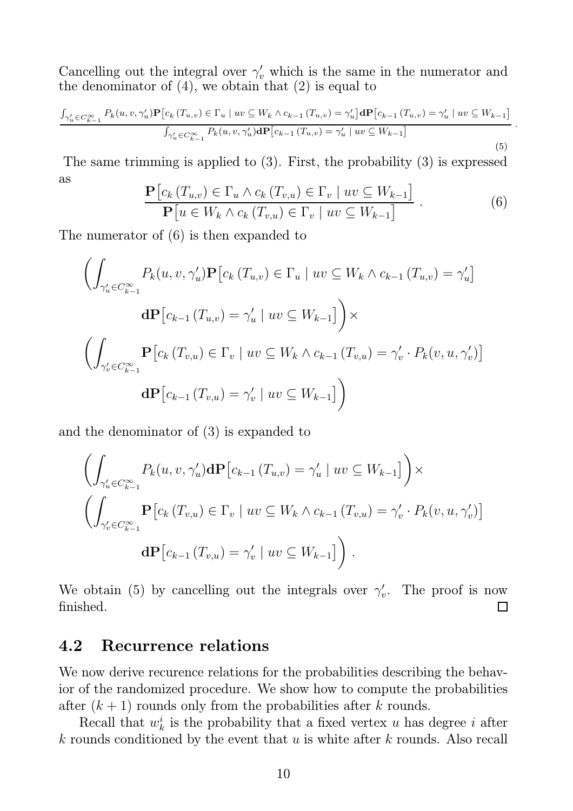Cancelling out the integral over  $\gamma'_v$  which is the same in the numerator and the denominator of  $(4)$ , we obtain that  $(2)$  is equal to

$$
\frac{\int_{\gamma'_u \in C_{k-1}^{\infty}} P_k(u, v, \gamma'_u) \mathbf{P}[c_k(T_{u,v}) \in \Gamma_u | uv \subseteq W_k \land c_{k-1}(T_{u,v}) = \gamma'_u] \mathbf{d} \mathbf{P}[c_{k-1}(T_{u,v}) = \gamma'_u | uv \subseteq W_{k-1}]}{\int_{\gamma'_u \in C_{k-1}^{\infty}} P_k(u, v, \gamma'_u) \mathbf{d} \mathbf{P}[c_{k-1}(T_{u,v}) = \gamma'_u | uv \subseteq W_{k-1}]}
$$
\n(5)

The same trimming is applied to (3). First, the probability (3) is expressed as

$$
\frac{\mathbf{P}\left[c_k\left(T_{u,v}\right) \in \Gamma_u \land c_k\left(T_{v,u}\right) \in \Gamma_v \mid uv \subseteq W_{k-1}\right]}{\mathbf{P}\left[u \in W_k \land c_k\left(T_{v,u}\right) \in \Gamma_v \mid uv \subseteq W_{k-1}\right]} \ . \tag{6}
$$

The numerator of (6) is then expanded to

$$
\left(\int_{\gamma'_u \in C_{k-1}^{\infty}} P_k(u, v, \gamma'_u) \mathbf{P} \left[c_k(T_{u,v}) \in \Gamma_u \mid uv \subseteq W_k \land c_{k-1}(T_{u,v}) = \gamma'_u\right] \mathbf{d}\mathbf{P} \left[c_{k-1}(T_{u,v}) = \gamma'_u \mid uv \subseteq W_{k-1}\right] \right) \times
$$
\n
$$
\left(\int_{\gamma'_v \in C_{k-1}^{\infty}} \mathbf{P} \left[c_k(T_{v,u}) \in \Gamma_v \mid uv \subseteq W_k \land c_{k-1}(T_{v,u}) = \gamma'_v \cdot P_k(v, u, \gamma'_v)\right] \mathbf{d}\mathbf{P} \left[c_{k-1}(T_{v,u}) = \gamma'_v \mid uv \subseteq W_{k-1}\right] \right)
$$

and the denominator of (3) is expanded to

$$
\left(\int_{\gamma'_u \in C_{k-1}^{\infty}} P_k(u, v, \gamma'_u) d\mathbf{P} \left[c_{k-1} (T_{u,v}) = \gamma'_u \mid uv \subseteq W_{k-1}\right]\right) \times
$$
\n
$$
\left(\int_{\gamma'_v \in C_{k-1}^{\infty}} \mathbf{P} \left[c_k (T_{v,u}) \in \Gamma_v \mid uv \subseteq W_k \wedge c_{k-1} (T_{v,u}) = \gamma'_v \cdot P_k(v, u, \gamma'_v)\right]
$$
\n
$$
d\mathbf{P} \left[c_{k-1} (T_{v,u}) = \gamma'_v \mid uv \subseteq W_{k-1}\right]\right).
$$

We obtain (5) by cancelling out the integrals over  $\gamma'_{i}$  $v'$ . The proof is now finished.  $\Box$ 

#### 4.2 Recurrence relations

We now derive recurence relations for the probabilities describing the behavior of the randomized procedure. We show how to compute the probabilities after  $(k+1)$  rounds only from the probabilities after k rounds.

Recall that  $w_k^i$  $\frac{i}{k}$  is the probability that a fixed vertex u has degree i after  $k$  rounds conditioned by the event that  $u$  is white after  $k$  rounds. Also recall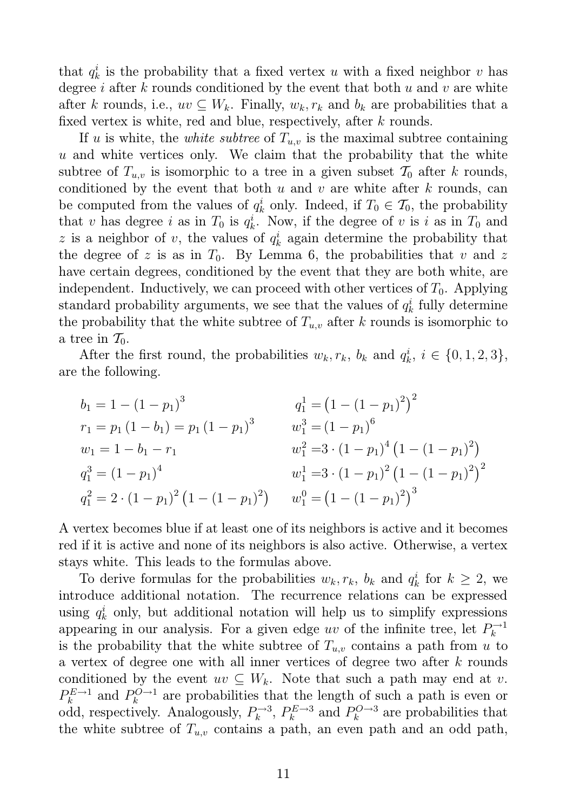that  $q_k^i$  $\mu_k^i$  is the probability that a fixed vertex u with a fixed neighbor v has degree i after  $k$  rounds conditioned by the event that both  $u$  and  $v$  are white after k rounds, i.e.,  $uv \subseteq W_k$ . Finally,  $w_k, r_k$  and  $b_k$  are probabilities that a fixed vertex is white, red and blue, respectively, after k rounds.

If u is white, the *white subtree* of  $T_{u,v}$  is the maximal subtree containing  $u$  and white vertices only. We claim that the probability that the white subtree of  $T_{u,v}$  is isomorphic to a tree in a given subset  $\mathcal{T}_0$  after k rounds, conditioned by the event that both  $u$  and  $v$  are white after  $k$  rounds, can be computed from the values of  $q_k^i$  $\mathbf{k}$  only. Indeed, if  $T_0 \in \mathcal{T}_0$ , the probability that v has degree i as in  $T_0$  is  $q_k^i$  $\frac{i}{k}$ . Now, if the degree of v is i as in  $T_0$  and z is a neighbor of v, the values of  $q_k^i$  $\frac{i}{k}$  again determine the probability that the degree of z is as in  $T_0$ . By Lemma 6, the probabilities that v and z have certain degrees, conditioned by the event that they are both white, are independent. Inductively, we can proceed with other vertices of  $T_0$ . Applying standard probability arguments, we see that the values of  $q_k^i$  $\frac{i}{k}$  fully determine the probability that the white subtree of  $T_{u,v}$  after k rounds is isomorphic to a tree in  $\mathcal{T}_0$ .

After the first round, the probabilities  $w_k, r_k, b_k$  and  $q_k^i$  $k, i \in \{0, 1, 2, 3\},\$ are the following.

$$
b_1 = 1 - (1 - p_1)^3
$$
  
\n
$$
r_1 = p_1 (1 - b_1) = p_1 (1 - p_1)^3
$$
  
\n
$$
w_1 = 1 - b_1 - r_1
$$
  
\n
$$
q_1^3 = (1 - p_1)^6
$$
  
\n
$$
w_1^2 = 3 \cdot (1 - p_1)^4 (1 - (1 - p_1)^2)
$$
  
\n
$$
q_1^3 = (1 - p_1)^4
$$
  
\n
$$
w_1^1 = 3 \cdot (1 - p_1)^2 (1 - (1 - p_1)^2)^2
$$
  
\n
$$
q_1^2 = 2 \cdot (1 - p_1)^2 (1 - (1 - p_1)^2)
$$
  
\n
$$
w_1^0 = (1 - (1 - p_1)^2)^3
$$

A vertex becomes blue if at least one of its neighbors is active and it becomes red if it is active and none of its neighbors is also active. Otherwise, a vertex stays white. This leads to the formulas above.

To derive formulas for the probabilities  $w_k, r_k, b_k$  and  $q_k^i$  $\frac{i}{k}$  for  $k \geq 2$ , we introduce additional notation. The recurrence relations can be expressed using  $q_k^i$  $\mu_k^i$  only, but additional notation will help us to simplify expressions appearing in our analysis. For a given edge uv of the infinite tree, let  $P_k^{-1}$ k is the probability that the white subtree of  $T_{u,v}$  contains a path from u to a vertex of degree one with all inner vertices of degree two after k rounds conditioned by the event  $uv \subseteq W_k$ . Note that such a path may end at v.  $P_k^{E\rightarrow 1}$  $R_k^{E\rightarrow 1}$  and  $P_k^{O\rightarrow 1}$  $k^{O \rightarrow 1}$  are probabilities that the length of such a path is even or odd, respectively. Analogously,  $P_k^{\rightarrow 3}$  $P_k^{\to 3}$ ,  $P_k^{E\to 3}$  $k^{E\rightarrow 3}$  and  $P_k^{O\rightarrow 3}$  $\int_k^{Q \to 3}$  are probabilities that the white subtree of  $T_{u,v}$  contains a path, an even path and an odd path,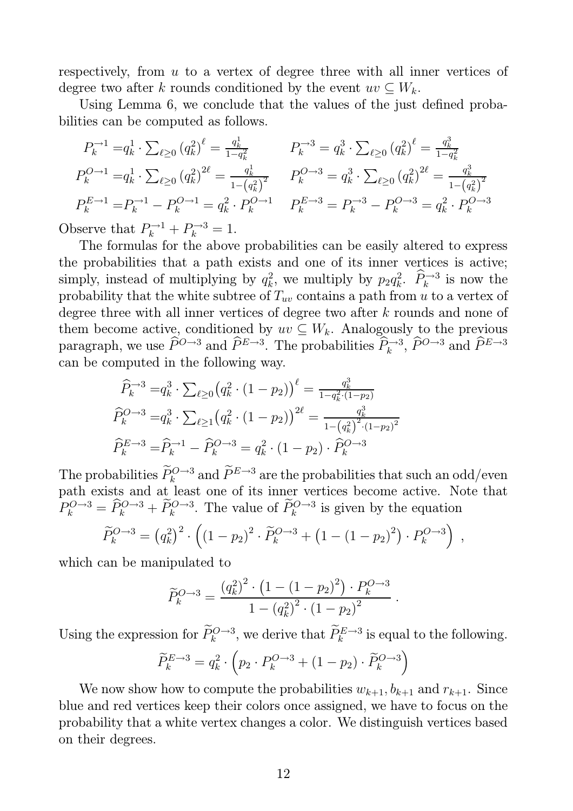respectively, from u to a vertex of degree three with all inner vertices of degree two after k rounds conditioned by the event  $uv \subseteq W_k$ .

Using Lemma 6, we conclude that the values of the just defined probabilities can be computed as follows.

$$
P_k^{\rightarrow 1} = q_k^1 \cdot \sum_{\ell \ge 0} (q_k^2)^{\ell} = \frac{q_k^1}{1 - q_k^2} \qquad P_k^{\rightarrow 3} = q_k^3 \cdot \sum_{\ell \ge 0} (q_k^2)^{\ell} = \frac{q_k^3}{1 - q_k^2}
$$
  
\n
$$
P_k^{Q \rightarrow 1} = q_k^1 \cdot \sum_{\ell \ge 0} (q_k^2)^{2\ell} = \frac{q_k^1}{1 - (q_k^2)^2} \qquad P_k^{Q \rightarrow 3} = q_k^3 \cdot \sum_{\ell \ge 0} (q_k^2)^{2\ell} = \frac{q_k^3}{1 - (q_k^2)^2}
$$
  
\n
$$
P_k^{E \rightarrow 1} = P_k^{\rightarrow 1} - P_k^{Q \rightarrow 1} = q_k^2 \cdot P_k^{Q \rightarrow 1} \qquad P_k^{E \rightarrow 3} = P_k^{\rightarrow 3} - P_k^{Q \rightarrow 3} = q_k^2 \cdot P_k^{Q \rightarrow 3}
$$
  
\nserve that  $P_k^{\rightarrow 1} + P_k^{\rightarrow 3} = 1$ .

Ob  $P_k^{-1} + P_k^{-3} = 1.$ 

The formulas for the above probabilities can be easily altered to express the probabilities that a path exists and one of its inner vertices is active; simply, instead of multiplying by  $q_k^2$  $k^2$ , we multiply by  $p_2 q_k^2$  $\hat{P}_k^2$ .  $\hat{P}_k^{\rightarrow 3}$  is now the probability that the white subtree of  $T_{uv}$  contains a path from u to a vertex of degree three with all inner vertices of degree two after k rounds and none of them become active, conditioned by  $uv \subseteq W_k$ . Analogously to the previous paragraph, we use  $\widehat{P}^{O\rightarrow 3}$  and  $\widehat{P}^{E\rightarrow 3}$ . The probabilities  $\widehat{P}_k^{\rightarrow 3}$ ,  $\widehat{P}^{O\rightarrow 3}$  and  $\widehat{P}^{E\rightarrow 3}$ can be computed in the following way.

$$
\widehat{P}_k^{\rightarrow 3} = q_k^3 \cdot \sum_{\ell \ge 0} \left( q_k^2 \cdot (1 - p_2) \right)^{\ell} = \frac{q_k^3}{1 - q_k^2 \cdot (1 - p_2)}
$$
\n
$$
\widehat{P}_k^{Q \rightarrow 3} = q_k^3 \cdot \sum_{\ell \ge 1} \left( q_k^2 \cdot (1 - p_2) \right)^{2\ell} = \frac{q_k^3}{1 - (q_k^2)^2 \cdot (1 - p_2)^2}
$$
\n
$$
\widehat{P}_k^{E \rightarrow 3} = \widehat{P}_k^{\rightarrow 1} - \widehat{P}_k^{Q \rightarrow 3} = q_k^2 \cdot (1 - p_2) \cdot \widehat{P}_k^{Q \rightarrow 3}
$$

The probabilities  $P_k^{Q\rightarrow 3}$  and  $P^{E\rightarrow 3}$  are the probabilities that such an odd/even path exists and at least one of its inner vertices become active. Note that  $P_k^{O\rightarrow 3} = \hat{P}_k^{O\rightarrow 3} + \hat{P}_k^{O\rightarrow 3}$ . The value of  $\hat{P}_k^{O\rightarrow 3}$  is given by the equation

$$
\widetilde{P}_k^{O \to 3} = (q_k^2)^2 \cdot \left( (1 - p_2)^2 \cdot \widetilde{P}_k^{O \to 3} + (1 - (1 - p_2)^2) \cdot P_k^{O \to 3} \right) ,
$$

which can be manipulated to

$$
\widetilde{P}_k^{O \to 3} = \frac{(q_k^2)^2 \cdot (1 - (1 - p_2)^2) \cdot P_k^{O \to 3}}{1 - (q_k^2)^2 \cdot (1 - p_2)^2}.
$$

Using the expression for  $\tilde{P}_k^{O \to 3}$ , we derive that  $\tilde{P}_k^{E \to 3}$  is equal to the following.

$$
\widetilde{P}_k^{E \to 3} = q_k^2 \cdot \left( p_2 \cdot P_k^{O \to 3} + (1 - p_2) \cdot \widetilde{P}_k^{O \to 3} \right)
$$

We now show how to compute the probabilities  $w_{k+1}, b_{k+1}$  and  $r_{k+1}$ . Since blue and red vertices keep their colors once assigned, we have to focus on the probability that a white vertex changes a color. We distinguish vertices based on their degrees.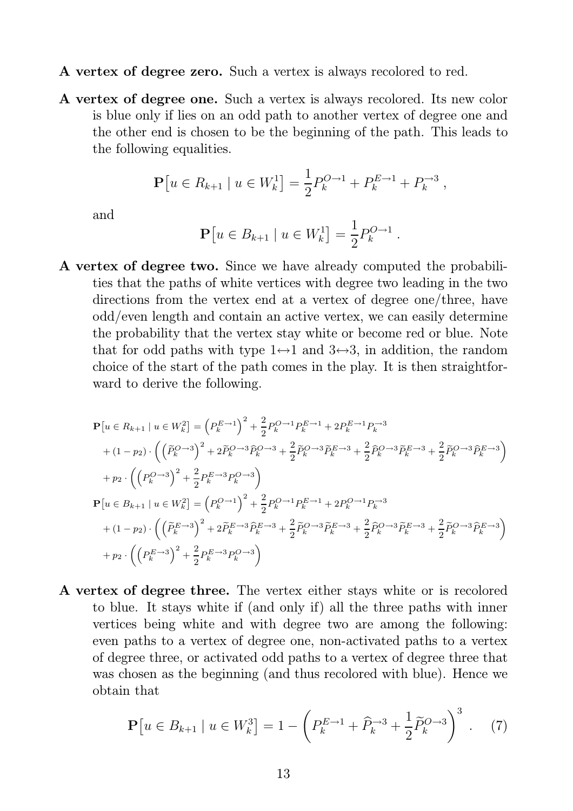- A vertex of degree zero. Such a vertex is always recolored to red.
- A vertex of degree one. Such a vertex is always recolored. Its new color is blue only if lies on an odd path to another vertex of degree one and the other end is chosen to be the beginning of the path. This leads to the following equalities.

$$
\mathbf{P}[u \in R_{k+1} \mid u \in W_k^1] = \frac{1}{2} P_k^{O \to 1} + P_k^{E \to 1} + P_k^{\to 3} ,
$$

and

$$
\mathbf{P}[u \in B_{k+1} \mid u \in W_k^1] = \frac{1}{2} P_k^{O \to 1}
$$

.

A vertex of degree two. Since we have already computed the probabilities that the paths of white vertices with degree two leading in the two directions from the vertex end at a vertex of degree one/three, have odd/even length and contain an active vertex, we can easily determine the probability that the vertex stay white or become red or blue. Note that for odd paths with type  $1 \leftrightarrow 1$  and  $3 \leftrightarrow 3$ , in addition, the random choice of the start of the path comes in the play. It is then straightforward to derive the following.

$$
\begin{split} &\mathbf{P}\left[u\in R_{k+1}\mid u\in W_{k}^{2}\right]=\left(P_{k}^{E\rightarrow1}\right)^{2}+\frac{2}{2}P_{k}^{O\rightarrow1}P_{k}^{E\rightarrow1}+2P_{k}^{E\rightarrow1}P_{k}^{\rightarrow3} \\ &+(1-p_{2})\cdot\left(\left(\widetilde{P}_{k}^{O\rightarrow3}\right)^{2}+2\widetilde{P}_{k}^{O\rightarrow3}\widehat{P}_{k}^{O\rightarrow3}+\frac{2}{2}\widetilde{P}_{k}^{O\rightarrow3}\widetilde{P}_{k}^{E\rightarrow3}+\frac{2}{2}\widehat{P}_{k}^{O\rightarrow3}\widetilde{P}_{k}^{E\rightarrow3}+\frac{2}{2}\widetilde{P}_{k}^{O\rightarrow3}\widehat{P}_{k}^{E\rightarrow3}\right) \\ &+p_{2}\cdot\left(\left(P_{k}^{O\rightarrow3}\right)^{2}+\frac{2}{2}P_{k}^{E\rightarrow3}P_{k}^{O\rightarrow3}\right) \\ &\mathbf{P}\left[u\in B_{k+1}\mid u\in W_{k}^{2}\right]=\left(P_{k}^{O\rightarrow1}\right)^{2}+\frac{2}{2}P_{k}^{O\rightarrow1}P_{k}^{E\rightarrow1}+2P_{k}^{O\rightarrow1}P_{k}^{\rightarrow3} \\ &+(1-p_{2})\cdot\left(\left(\widetilde{P}_{k}^{E\rightarrow3}\right)^{2}+2\widetilde{P}_{k}^{E\rightarrow3}\widehat{P}_{k}^{E\rightarrow3}+\frac{2}{2}\widetilde{P}_{k}^{O\rightarrow3}\widetilde{P}_{k}^{E\rightarrow3}+\frac{2}{2}\widehat{P}_{k}^{O\rightarrow3}\widetilde{P}_{k}^{E\rightarrow3}+\frac{2}{2}\widetilde{P}_{k}^{O\rightarrow3}\widetilde{P}_{k}^{E\rightarrow3}+\frac{2}{2}\widetilde{P}_{k}^{O\rightarrow3}\widetilde{P}_{k}^{E\rightarrow3}+\frac{2}{2}\widetilde{P}_{k}^{O\rightarrow3}\widetilde{P}_{k}^{E\rightarrow3}\right) \\ &+p_{2}\cdot\left(\left(P_{k}^{E\rightarrow3}\right)^{2}+\frac{2}{2}P_{k}^{E\rightarrow3}P_{k}^{O\rightarrow3}\right) \end{split}
$$

A vertex of degree three. The vertex either stays white or is recolored to blue. It stays white if (and only if) all the three paths with inner vertices being white and with degree two are among the following: even paths to a vertex of degree one, non-activated paths to a vertex of degree three, or activated odd paths to a vertex of degree three that was chosen as the beginning (and thus recolored with blue). Hence we obtain that

$$
\mathbf{P}\left[u \in B_{k+1} \mid u \in W_k^3\right] = 1 - \left(P_k^{E \to 1} + \widehat{P}_k^{-3} + \frac{1}{2}\widetilde{P}_k^{O \to 3}\right)^3. \tag{7}
$$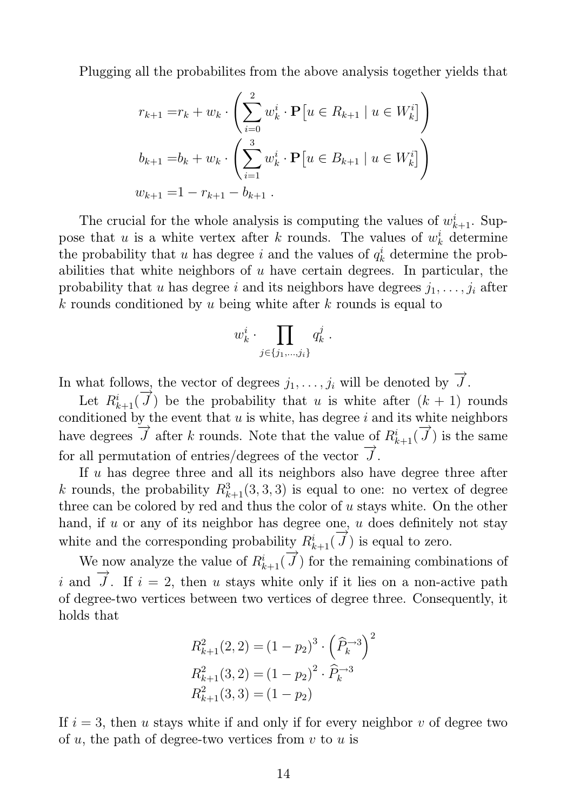Plugging all the probabilites from the above analysis together yields that

$$
r_{k+1} = r_k + w_k \cdot \left(\sum_{i=0}^2 w_k^i \cdot \mathbf{P}[u \in R_{k+1} | u \in W_k^i]\right)
$$
  

$$
b_{k+1} = b_k + w_k \cdot \left(\sum_{i=1}^3 w_k^i \cdot \mathbf{P}[u \in B_{k+1} | u \in W_k^i]\right)
$$
  

$$
w_{k+1} = 1 - r_{k+1} - b_{k+1}.
$$

The crucial for the whole analysis is computing the values of  $w_{k+1}^i$ . Suppose that u is a white vertex after k rounds. The values of  $w_k^i$  determine the probability that u has degree i and the values of  $q_k^i$  determine the probabilities that white neighbors of  $u$  have certain degrees. In particular, the probability that u has degree i and its neighbors have degrees  $j_1, \ldots, j_i$  after k rounds conditioned by u being white after k rounds is equal to

$$
w_k^i \cdot \prod_{j \in \{j_1, \dots, j_i\}} q_k^j \; .
$$

In what follows, the vector of degrees  $j_1, \ldots, j_i$  will be denoted by  $\rightarrow$  $J$  .

Let  $R_{k+1}^i$ (  $\rightarrow \rightarrow \rightarrow$ J) be the probability that u is white after  $(k + 1)$  rounds conditioned by the event that  $u$  is white, has degree  $i$  and its white neighbors have degrees  $\frac{J}{\tau}$  $\tilde{J}$  after k rounds. Note that the value of  $R_{k+1}^i$  $\rightarrow$  $J$ ) is the same for all permutation of entries/degrees of the vector  $\rightarrow$  $\overline{J}$  .

If u has degree three and all its neighbors also have degree three after k rounds, the probability  $R_{k+1}^3(3,3,3)$  is equal to one: no vertex of degree three can be colored by red and thus the color of  $u$  stays white. On the other hand, if  $u$  or any of its neighbor has degree one,  $u$  does definitely not stay white and the corresponding probability  $R_{k+1}^i$  $\rightarrow \rightarrow \rightarrow \rightarrow$  $J$ ) is equal to zero.

We now analyze the value of  $R_{k+1}^i$ (  $\frac{v}{\tau}$  $J$ ) for the remaining combinations of i and  $\rightarrow$ J. If  $i = 2$ , then u stays white only if it lies on a non-active path of degree-two vertices between two vertices of degree three. Consequently, it holds that

$$
R_{k+1}^2(2, 2) = (1 - p_2)^3 \cdot \left(\widehat{P}_k^{-3}\right)^2
$$
  

$$
R_{k+1}^2(3, 2) = (1 - p_2)^2 \cdot \widehat{P}_k^{-3}
$$
  

$$
R_{k+1}^2(3, 3) = (1 - p_2)
$$

If  $i = 3$ , then u stays white if and only if for every neighbor v of degree two of  $u$ , the path of degree-two vertices from  $v$  to  $u$  is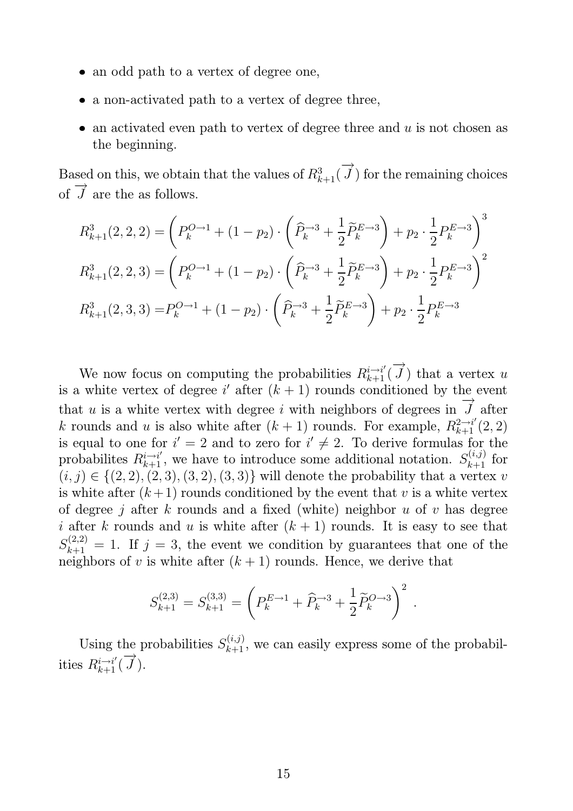- an odd path to a vertex of degree one,
- a non-activated path to a vertex of degree three,
- an activated even path to vertex of degree three and  $u$  is not chosen as the beginning.

Based on this, we obtain that the values of  $R_{k+1}^3($  $\rightarrow$  $J$ ) for the remaining choices of −→  $J$  are the as follows.

$$
R_{k+1}^{3}(2,2,2) = \left(P_{k}^{O\to 1} + (1-p_{2})\cdot \left(\widehat{P}_{k}^{-3} + \frac{1}{2}\widetilde{P}_{k}^{E\to 3}\right) + p_{2}\cdot \frac{1}{2}P_{k}^{E\to 3}\right)^{3}
$$
  

$$
R_{k+1}^{3}(2,2,3) = \left(P_{k}^{O\to 1} + (1-p_{2})\cdot \left(\widehat{P}_{k}^{-3} + \frac{1}{2}\widetilde{P}_{k}^{E\to 3}\right) + p_{2}\cdot \frac{1}{2}P_{k}^{E\to 3}\right)^{2}
$$
  

$$
R_{k+1}^{3}(2,3,3) = P_{k}^{O\to 1} + (1-p_{2})\cdot \left(\widehat{P}_{k}^{-3} + \frac{1}{2}\widetilde{P}_{k}^{E\to 3}\right) + p_{2}\cdot \frac{1}{2}P_{k}^{E\to 3}
$$

We now focus on computing the probabilities  $R_{k+1}^{i \to i'}$  $\rightarrow$  $J$ ) that a vertex u is a white vertex of degree i' after  $(k + 1)$  rounds conditioned by the event that  $u$  is a white vertex with degree  $i$  with neighbors of degrees in  $\stackrel{\text{10}}{\rightarrow}$ J after k rounds and u is also white after  $(k + 1)$  rounds. For example,  $R_{k+1}^{2 \to i'}(2, 2)$ is equal to one for  $i' = 2$  and to zero for  $i' \neq 2$ . To derive formulas for the probabilites  $R_{k+1}^{i \to i'}$ , we have to introduce some additional notation.  $S_{k+1}^{(i,j)}$  for  $(i, j) \in \{(2, 2), (2, 3), (3, 2), (3, 3)\}\$  will denote the probability that a vertex v is white after  $(k+1)$  rounds conditioned by the event that v is a white vertex of degree j after k rounds and a fixed (white) neighbor u of v has degree i after k rounds and u is white after  $(k + 1)$  rounds. It is easy to see that  $S_{k+1}^{(2,2)} = 1$ . If  $j = 3$ , the event we condition by guarantees that one of the neighbors of v is white after  $(k + 1)$  rounds. Hence, we derive that

$$
S_{k+1}^{(2,3)} = S_{k+1}^{(3,3)} = \left( P_k^{E \to 1} + \widehat{P}_k^{\to 3} + \frac{1}{2} \widetilde{P}_k^{O \to 3} \right)^2.
$$

Using the probabilities  $S_{k+1}^{(i,j)}$ , we can easily express some of the probabilities  $R_{k+1}^{i \to i'}$  (  $\rightarrow$  $J$  ).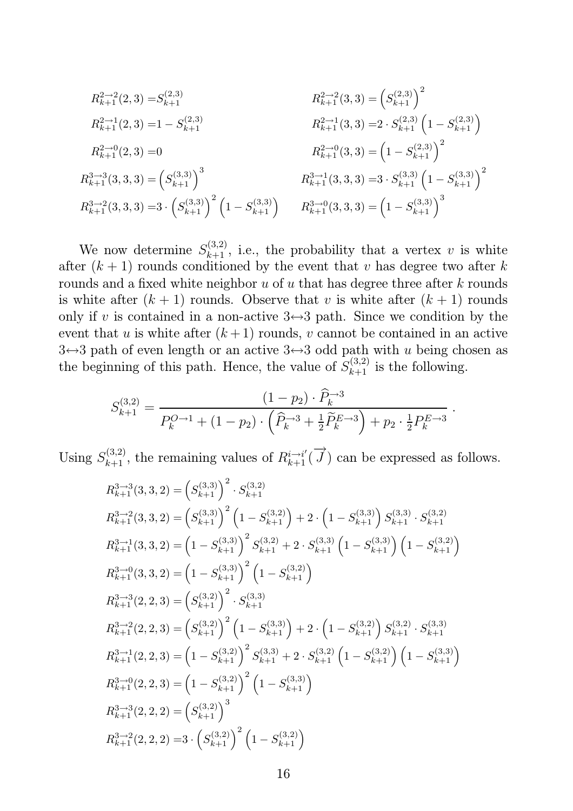$$
R_{k+1}^{2 \to 2}(2,3) = S_{k+1}^{(2,3)}
$$
\n
$$
R_{k+1}^{2 \to 1}(2,3) = 1 - S_{k+1}^{(2,3)}
$$
\n
$$
R_{k+1}^{2 \to 1}(3,3) = 2 \cdot S_{k+1}^{(2,3)} \left(1 - S_{k+1}^{(2,3)}\right)
$$
\n
$$
R_{k+1}^{2 \to 0}(2,3) = 0
$$
\n
$$
R_{k+1}^{2 \to 0}(3,3) = \left(1 - S_{k+1}^{(2,3)}\right)^2
$$
\n
$$
R_{k+1}^{3 \to 3}(3,3,3) = \left(S_{k+1}^{(3,3)}\right)^3
$$
\n
$$
R_{k+1}^{3 \to 1}(3,3,3) = 3 \cdot S_{k+1}^{(3,3)} \left(1 - S_{k+1}^{(3,3)}\right)^2
$$
\n
$$
R_{k+1}^{3 \to 2}(3,3,3) = 3 \cdot \left(S_{k+1}^{(3,3)}\right)^2 \left(1 - S_{k+1}^{(3,3)}\right)
$$
\n
$$
R_{k+1}^{3 \to 0}(3,3,3) = \left(1 - S_{k+1}^{(3,3)}\right)^3
$$

We now determine  $S_{k+1}^{(3,2)}$ , i.e., the probability that a vertex v is white after  $(k+1)$  rounds conditioned by the event that v has degree two after k rounds and a fixed white neighbor  $u$  of  $u$  that has degree three after  $k$  rounds is white after  $(k + 1)$  rounds. Observe that v is white after  $(k + 1)$  rounds only if v is contained in a non-active  $3 \leftrightarrow 3$  path. Since we condition by the event that u is white after  $(k+1)$  rounds, v cannot be contained in an active  $3 \leftrightarrow 3$  path of even length or an active  $3 \leftrightarrow 3$  odd path with u being chosen as the beginning of this path. Hence, the value of  $S_{k+1}^{(3,2)}$  is the following.

$$
S_{k+1}^{(3,2)} = \frac{(1-p_2) \cdot \widehat{P}_k^{-3}}{P_k^{O \to 1} + (1-p_2) \cdot \left(\widehat{P}_k^{-3} + \frac{1}{2} \widetilde{P}_k^{E \to 3}\right) + p_2 \cdot \frac{1}{2} P_k^{E \to 3}}
$$

.

Using  $S_{k+1}^{(3,2)}$ , the remaining values of  $R_{k+1}^{i \to i'}$  $\rightarrow$  $J$ ) can be expressed as follows.

$$
R_{k+1}^{3\to3}(3,3,2) = (S_{k+1}^{(3,3)})^2 \cdot S_{k+1}^{(3,2)}
$$
  
\n
$$
R_{k+1}^{3\to2}(3,3,2) = (S_{k+1}^{(3,3)})^2 (1 - S_{k+1}^{(3,2)}) + 2 \cdot (1 - S_{k+1}^{(3,3)}) S_{k+1}^{(3,3)} \cdot S_{k+1}^{(3,2)}
$$
  
\n
$$
R_{k+1}^{3\to1}(3,3,2) = (1 - S_{k+1}^{(3,3)})^2 S_{k+1}^{(3,2)} + 2 \cdot S_{k+1}^{(3,3)} (1 - S_{k+1}^{(3,3)}) (1 - S_{k+1}^{(3,2)})
$$
  
\n
$$
R_{k+1}^{3\to0}(3,3,2) = (1 - S_{k+1}^{(3,3)})^2 (1 - S_{k+1}^{(3,2)})
$$
  
\n
$$
R_{k+1}^{3\to3}(2,2,3) = (S_{k+1}^{(3,2)})^2 \cdot S_{k+1}^{(3,3)}
$$
  
\n
$$
R_{k+1}^{3\to2}(2,2,3) = (S_{k+1}^{(3,2)})^2 (1 - S_{k+1}^{(3,3)}) + 2 \cdot (1 - S_{k+1}^{(3,2)}) S_{k+1}^{(3,2)} \cdot S_{k+1}^{(3,3)}
$$
  
\n
$$
R_{k+1}^{3\to1}(2,2,3) = (1 - S_{k+1}^{(3,2)})^2 S_{k+1}^{(3,3)} + 2 \cdot S_{k+1}^{(3,2)} (1 - S_{k+1}^{(3,2)}) (1 - S_{k+1}^{(3,3)})
$$
  
\n
$$
R_{k+1}^{3\to0}(2,2,3) = (1 - S_{k+1}^{(3,2)})^2 (1 - S_{k+1}^{(3,3)})
$$
  
\n
$$
R_{k+1}^{3\to3}(2,2,2) = (S_{k+1}^{(3,2)})^3
$$
  
\n
$$
R_{k+1}^{3\to2}(2,2,2) = 3 \cdot (S_{k+1}^{(3,2)})^2 (1 - S_{
$$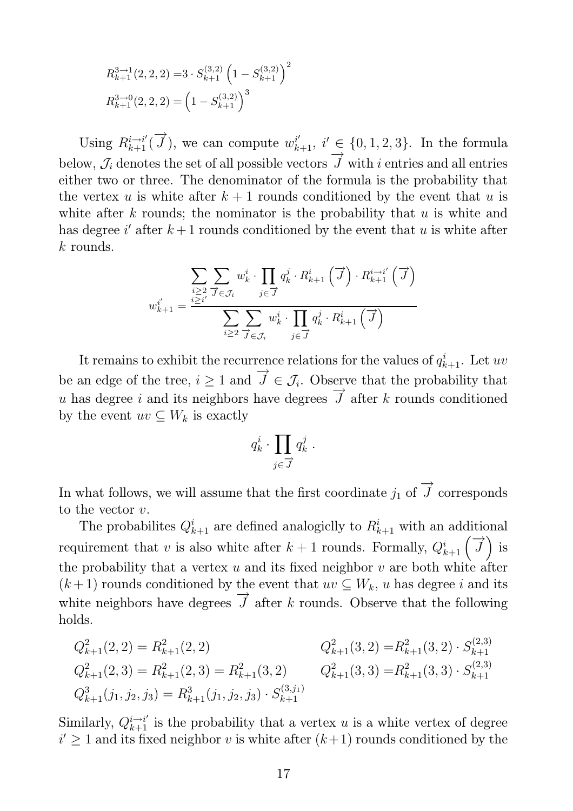$$
R_{k+1}^{3 \to 1}(2,2,2) = 3 \cdot S_{k+1}^{(3,2)} \left(1 - S_{k+1}^{(3,2)}\right)^2
$$
  

$$
R_{k+1}^{3 \to 0}(2,2,2) = \left(1 - S_{k+1}^{(3,2)}\right)^3
$$

Using  $R_{k+1}^{i \to i'}$  (  $\rightarrow$  $\overrightarrow{J}$ ), we can compute  $w_{k+1}^{i'}$ ,  $i' \in \{0,1,2,3\}$ . In the formula below,  $\mathcal{J}_i$  denotes the set of all possible vectors  $\rightarrow$  $J$  with  $i$  entries and all entries either two or three. The denominator of the formula is the probability that the vertex u is white after  $k + 1$  rounds conditioned by the event that u is white after  $k$  rounds; the nominator is the probability that  $u$  is white and has degree i' after  $k+1$  rounds conditioned by the event that u is white after  $k$  rounds.

$$
w_{k+1}^{i} = \frac{\sum\limits_{i \geq 2} \sum\limits_{\vec{j} \in \mathcal{J}_i} w_k^i \cdot \prod\limits_{j \in \vec{J}} q_k^j \cdot R_{k+1}^i (\vec{j}) \cdot R_{k+1}^{i \to i'} (\vec{j})}{\sum\limits_{i \geq 2} \sum\limits_{\vec{j} \in \mathcal{J}_i} w_k^i \cdot \prod\limits_{j \in \vec{J}} q_k^j \cdot R_{k+1}^i (\vec{j})}
$$

It remains to exhibit the recurrence relations for the values of  $q_{k+1}^i$ . Let uv be an edge of the tree,  $i \geq 1$  and  $\rightarrow$  $J \in \mathcal{J}_i$ . Observe that the probability that  $u$  has degree  $i$  and its neighbors have degrees  $\rightarrow \rightarrow \rightarrow$ J after k rounds conditioned by the event  $uv \subseteq W_k$  is exactly

$$
q_k^i \cdot \prod_{j \in \overrightarrow{J}} q_k^j \ .
$$

In what follows, we will assume that the first coordinate  $j_1$  of  $\rightarrow$  $J$  corresponds to the vector  $v$ .

The probabilites  $Q_{k+1}^i$  are defined analogiclly to  $R_{k+1}^i$  with an additional requirement that v is also white after  $k+1$  rounds. Formally,  $Q_{k+1}^i(\vec{J})$  is the probability that a vertex  $u$  and its fixed neighbor  $v$  are both white after  $(k+1)$  rounds conditioned by the event that  $uv \subseteq W_k$ , u has degree i and its white neighbors have degrees  $\rightarrow$  $J$  after k rounds. Observe that the following holds.

$$
Q_{k+1}^2(2,2) = R_{k+1}^2(2,2)
$$
  
\n
$$
Q_{k+1}^2(3,2) = R_{k+1}^2(2,3)
$$
  
\n
$$
Q_{k+1}^2(3,2) = R_{k+1}^2(2,3) = R_{k+1}^2(3,2)
$$
  
\n
$$
Q_{k+1}^2(3,3) = R_{k+1}^2(3,3) \cdot S_{k+1}^{(2,3)}
$$
  
\n
$$
Q_{k+1}^3(j_1, j_2, j_3) = R_{k+1}^3(j_1, j_2, j_3) \cdot S_{k+1}^{(3,3)}
$$

Similarly,  $Q_{k+1}^{i \to i'}$  is the probability that a vertex u is a white vertex of degree  $i' \geq 1$  and its fixed neighbor v is white after  $(k+1)$  rounds conditioned by the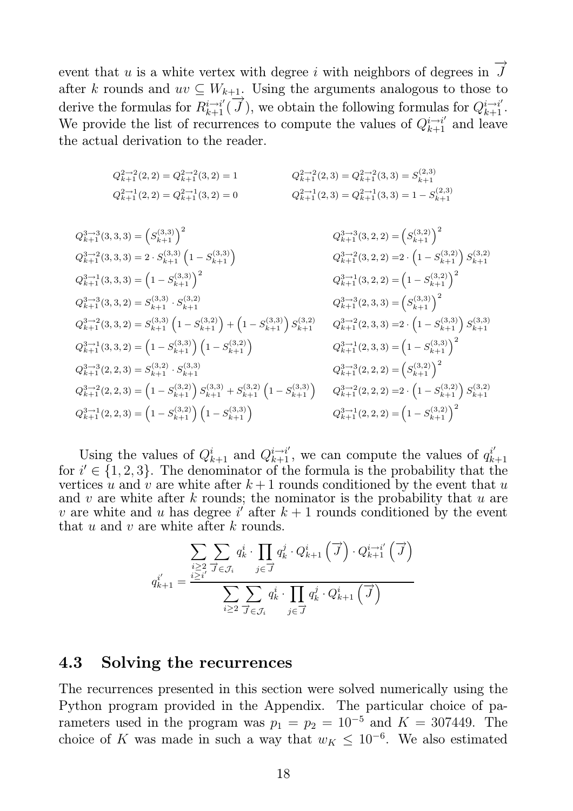event that  $u$  is a white vertex with degree  $i$  with neighbors of degrees in  $\rightarrow$  $\int$ after k rounds and  $uv \subseteq W_{k+1}$ . Using the arguments analogous to those to derive the formulas for  $R_{k+1}^{i \to i'}$  $\stackrel{+1}{\rightarrow}$  $\overrightarrow{J}$ ), we obtain the following formulas for  $Q_{k+1}^{i \to i'}$ . We provide the list of recurrences to compute the values of  $Q_{k+1}^{i \to i'}$  and leave the actual derivation to the reader.

$$
Q_{k+1}^{2 \to 2}(2,2) = Q_{k+1}^{2 \to 2}(3,2) = 1
$$
  
\n
$$
Q_{k+1}^{2 \to 2}(2,3) = Q_{k+1}^{2 \to 2}(3,3) = S_{k+1}^{(2,3)}
$$
  
\n
$$
Q_{k+1}^{2 \to 1}(2,2) = Q_{k+1}^{2 \to 1}(3,2) = 0
$$
  
\n
$$
Q_{k+1}^{2 \to 1}(2,3) = Q_{k+1}^{2 \to 1}(3,3) = 1 - S_{k+1}^{(2,3)}
$$

$$
Q_{k+1}^{3\to 3}(3,3,3) = (S_{k+1}^{(3,3)})^2
$$
\n
$$
Q_{k+1}^{3\to 2}(3,3,3) = 2 \cdot S_{k+1}^{(3,3)} (1 - S_{k+1}^{(3,3)})
$$
\n
$$
Q_{k+1}^{3\to 2}(3,2,2) = (S_{k+1}^{(3,2)})^2
$$
\n
$$
Q_{k+1}^{3\to 2}(3,3,3) = (1 - S_{k+1}^{(3,3)})^2
$$
\n
$$
Q_{k+1}^{3\to 3}(3,3,2) = S_{k+1}^{(3,3)} \cdot S_{k+1}^{(3,2)}
$$
\n
$$
Q_{k+1}^{3\to 3}(3,3,2) = S_{k+1}^{(3,3)} \cdot S_{k+1}^{(3,2)}
$$
\n
$$
Q_{k+1}^{3\to 3}(2,3,3) = (1 - S_{k+1}^{(3,3)})^2
$$
\n
$$
Q_{k+1}^{3\to 3}(2,3,3) = (1 - S_{k+1}^{(3,3)})^2
$$
\n
$$
Q_{k+1}^{3\to 3}(2,3,3) = (1 - S_{k+1}^{(3,3)}) (1 - S_{k+1}^{(3,2)})
$$
\n
$$
Q_{k+1}^{3\to 3}(2,3,3) = (1 - S_{k+1}^{(3,3)}) (1 - S_{k+1}^{(3,2)})
$$
\n
$$
Q_{k+1}^{3\to 3}(2,3,3) = (1 - S_{k+1}^{(3,3)})^2
$$
\n
$$
Q_{k+1}^{3\to 3}(2,3,3) = (1 - S_{k+1}^{(3,3)})^2
$$
\n
$$
Q_{k+1}^{3\to 3}(2,3,3) = (1 - S_{k+1}^{(3,3)})^2
$$
\n
$$
Q_{k+1}^{3\to 3}(2,2,3) = (1 - S_{k+1}^{(3,2)}) S_{k+1}^{(3,3)} + S_{k+1}^{(3,2)} (1 - S_{k+1}^{(3,3)})
$$
\n
$$
Q_{k+1}^{3\to
$$

Using the values of  $Q_{k+1}^i$  and  $Q_{k+1}^{i \to i'}$ , we can compute the values of  $q_k^{i'}$  $k+1$ for  $i' \in \{1, 2, 3\}$ . The denominator of the formula is the probability that the vertices u and v are white after  $k+1$  rounds conditioned by the event that u and v are white after k rounds; the nominator is the probability that  $u$  are v are white and u has degree  $i'$  after  $k+1$  rounds conditioned by the event that  $u$  and  $v$  are white after  $k$  rounds.

$$
q_{k+1}^{i'} = \frac{\sum\limits_{\substack{i \geq 2 \\ \underline{i \geq i'}}}}{\sum\limits_{j \in \mathcal{J}_i} q_k^i \cdot \prod\limits_{j \in \overrightarrow{J}}} q_k^j \cdot Q_{k+1}^i(\overrightarrow{J}) \cdot Q_{k+1}^{i \to i'}(\overrightarrow{J})}{\sum\limits_{i \geq 2} \sum\limits_{\overrightarrow{J} \in \mathcal{J}_i} q_k^i \cdot \prod\limits_{j \in \overrightarrow{J}} q_k^j \cdot Q_{k+1}^i(\overrightarrow{J})}
$$

#### 4.3 Solving the recurrences

The recurrences presented in this section were solved numerically using the Python program provided in the Appendix. The particular choice of parameters used in the program was  $p_1 = p_2 = 10^{-5}$  and  $K = 307449$ . The choice of K was made in such a way that  $w_K \leq 10^{-6}$ . We also estimated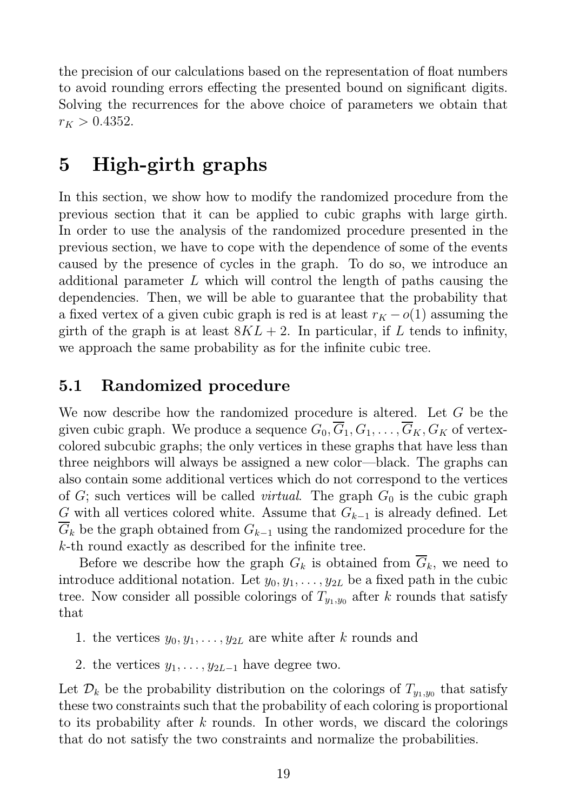the precision of our calculations based on the representation of float numbers to avoid rounding errors effecting the presented bound on significant digits. Solving the recurrences for the above choice of parameters we obtain that  $r_K > 0.4352$ .

## 5 High-girth graphs

In this section, we show how to modify the randomized procedure from the previous section that it can be applied to cubic graphs with large girth. In order to use the analysis of the randomized procedure presented in the previous section, we have to cope with the dependence of some of the events caused by the presence of cycles in the graph. To do so, we introduce an additional parameter L which will control the length of paths causing the dependencies. Then, we will be able to guarantee that the probability that a fixed vertex of a given cubic graph is red is at least  $r_K - o(1)$  assuming the girth of the graph is at least  $8KL + 2$ . In particular, if L tends to infinity, we approach the same probability as for the infinite cubic tree.

### 5.1 Randomized procedure

We now describe how the randomized procedure is altered. Let G be the given cubic graph. We produce a sequence  $G_0, \overline{G}_1, G_1, \ldots, \overline{G}_K, G_K$  of vertexcolored subcubic graphs; the only vertices in these graphs that have less than three neighbors will always be assigned a new color—black. The graphs can also contain some additional vertices which do not correspond to the vertices of  $G$ ; such vertices will be called *virtual*. The graph  $G_0$  is the cubic graph G with all vertices colored white. Assume that  $G_{k-1}$  is already defined. Let  $\overline{G}_k$  be the graph obtained from  $G_{k-1}$  using the randomized procedure for the k-th round exactly as described for the infinite tree.

Before we describe how the graph  $G_k$  is obtained from  $\overline{G}_k$ , we need to introduce additional notation. Let  $y_0, y_1, \ldots, y_{2L}$  be a fixed path in the cubic tree. Now consider all possible colorings of  $T_{y_1,y_0}$  after k rounds that satisfy that

- 1. the vertices  $y_0, y_1, \ldots, y_{2L}$  are white after k rounds and
- 2. the vertices  $y_1, \ldots, y_{2L-1}$  have degree two.

Let  $\mathcal{D}_k$  be the probability distribution on the colorings of  $T_{y_1,y_0}$  that satisfy these two constraints such that the probability of each coloring is proportional to its probability after k rounds. In other words, we discard the colorings that do not satisfy the two constraints and normalize the probabilities.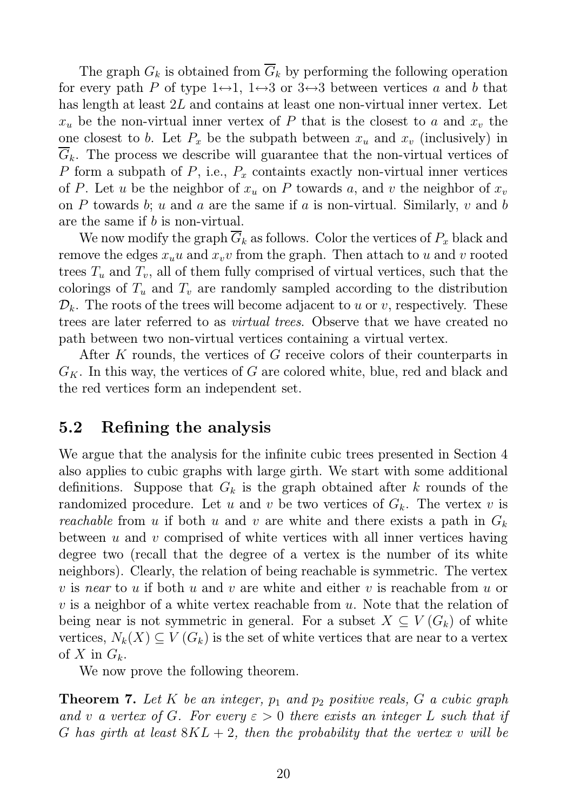The graph  $G_k$  is obtained from  $\overline{G}_k$  by performing the following operation for every path P of type  $1 \leftrightarrow 1$ ,  $1 \leftrightarrow 3$  or  $3 \leftrightarrow 3$  between vertices a and b that has length at least 2L and contains at least one non-virtual inner vertex. Let  $x_u$  be the non-virtual inner vertex of P that is the closest to a and  $x_v$  the one closest to b. Let  $P_x$  be the subpath between  $x_u$  and  $x_v$  (inclusively) in  $G_k$ . The process we describe will guarantee that the non-virtual vertices of P form a subpath of P, i.e.,  $P_x$  containts exactly non-virtual inner vertices of P. Let u be the neighbor of  $x_u$  on P towards a, and v the neighbor of  $x_v$ on P towards b; u and a are the same if a is non-virtual. Similarly, v and b are the same if b is non-virtual.

We now modify the graph  $\overline{G}_k$  as follows. Color the vertices of  $P_x$  black and remove the edges  $x_u u$  and  $x_v v$  from the graph. Then attach to u and v rooted trees  $T_u$  and  $T_v$ , all of them fully comprised of virtual vertices, such that the colorings of  $T_u$  and  $T_v$  are randomly sampled according to the distribution  $\mathcal{D}_k$ . The roots of the trees will become adjacent to u or v, respectively. These trees are later referred to as virtual trees. Observe that we have created no path between two non-virtual vertices containing a virtual vertex.

After K rounds, the vertices of G receive colors of their counterparts in  $G_K$ . In this way, the vertices of G are colored white, blue, red and black and the red vertices form an independent set.

#### 5.2 Refining the analysis

We argue that the analysis for the infinite cubic trees presented in Section 4 also applies to cubic graphs with large girth. We start with some additional definitions. Suppose that  $G_k$  is the graph obtained after k rounds of the randomized procedure. Let u and v be two vertices of  $G_k$ . The vertex v is reachable from u if both u and v are white and there exists a path in  $G_k$ between  $u$  and  $v$  comprised of white vertices with all inner vertices having degree two (recall that the degree of a vertex is the number of its white neighbors). Clearly, the relation of being reachable is symmetric. The vertex v is near to u if both u and v are white and either v is reachable from u or v is a neighbor of a white vertex reachable from  $u$ . Note that the relation of being near is not symmetric in general. For a subset  $X \subseteq V(G_k)$  of white vertices,  $N_k(X) \subseteq V(G_k)$  is the set of white vertices that are near to a vertex of X in  $G_k$ .

We now prove the following theorem.

**Theorem 7.** Let K be an integer,  $p_1$  and  $p_2$  positive reals, G a cubic graph and v a vertex of G. For every  $\varepsilon > 0$  there exists an integer L such that if G has girth at least  $8KL + 2$ , then the probability that the vertex v will be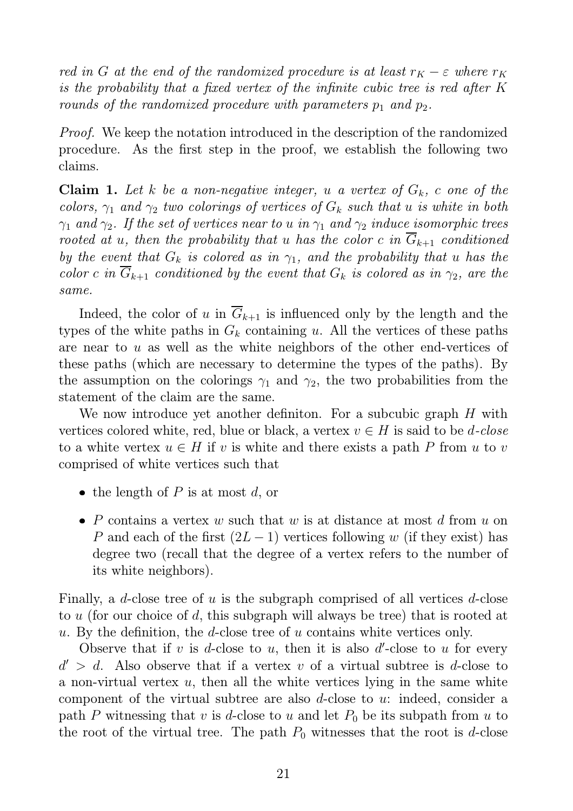red in G at the end of the randomized procedure is at least  $r_K - \varepsilon$  where  $r_K$ is the probability that a fixed vertex of the infinite cubic tree is red after K rounds of the randomized procedure with parameters  $p_1$  and  $p_2$ .

Proof. We keep the notation introduced in the description of the randomized procedure. As the first step in the proof, we establish the following two claims.

**Claim 1.** Let k be a non-negative integer, u a vertex of  $G_k$ , c one of the colors,  $\gamma_1$  and  $\gamma_2$  two colorings of vertices of  $G_k$  such that u is white in both  $\gamma_1$  and  $\gamma_2$ . If the set of vertices near to u in  $\gamma_1$  and  $\gamma_2$  induce isomorphic trees rooted at u, then the probability that u has the color c in  $\overline{G}_{k+1}$  conditioned by the event that  $G_k$  is colored as in  $\gamma_1$ , and the probability that u has the color c in  $G_{k+1}$  conditioned by the event that  $G_k$  is colored as in  $\gamma_2$ , are the same.

Indeed, the color of u in  $\overline{G}_{k+1}$  is influenced only by the length and the types of the white paths in  $G_k$  containing u. All the vertices of these paths are near to u as well as the white neighbors of the other end-vertices of these paths (which are necessary to determine the types of the paths). By the assumption on the colorings  $\gamma_1$  and  $\gamma_2$ , the two probabilities from the statement of the claim are the same.

We now introduce yet another definition. For a subcubic graph H with vertices colored white, red, blue or black, a vertex  $v \in H$  is said to be *d*-close to a white vertex  $u \in H$  if v is white and there exists a path P from u to v comprised of white vertices such that

- the length of P is at most d, or
- P contains a vertex w such that w is at distance at most d from u on P and each of the first  $(2L-1)$  vertices following w (if they exist) has degree two (recall that the degree of a vertex refers to the number of its white neighbors).

Finally, a d-close tree of u is the subgraph comprised of all vertices d-close to u (for our choice of d, this subgraph will always be tree) that is rooted at u. By the definition, the d-close tree of u contains white vertices only.

Observe that if  $v$  is  $d$ -close to  $u$ , then it is also  $d'$ -close to  $u$  for every  $d' > d$ . Also observe that if a vertex v of a virtual subtree is d-close to a non-virtual vertex  $u$ , then all the white vertices lying in the same white component of the virtual subtree are also d-close to u: indeed, consider a path P witnessing that v is d-close to u and let  $P_0$  be its subpath from u to the root of the virtual tree. The path  $P_0$  witnesses that the root is d-close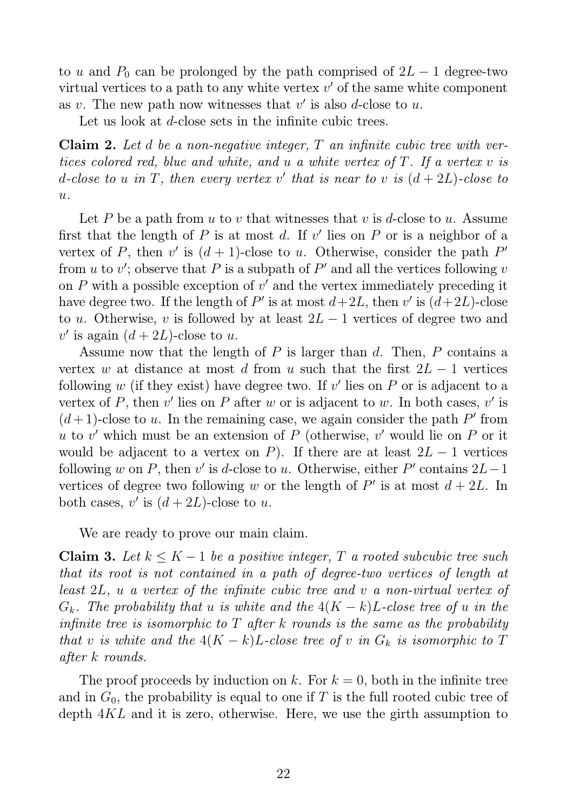to u and  $P_0$  can be prolonged by the path comprised of  $2L - 1$  degree-two virtual vertices to a path to any white vertex  $v'$  of the same white component as v. The new path now witnesses that  $v'$  is also d-close to u.

Let us look at d-close sets in the infinite cubic trees.

**Claim 2.** Let d be a non-negative integer,  $T$  an infinite cubic tree with vertices colored red, blue and white, and u a white vertex of T. If a vertex v is d-close to u in T, then every vertex v' that is near to v is  $(d+2L)$ -close to  $u$ .

Let P be a path from u to v that witnesses that v is d-close to u. Assume first that the length of  $P$  is at most  $d$ . If  $v'$  lies on  $P$  or is a neighbor of a vertex of P, then v' is  $(d+1)$ -close to u. Otherwise, consider the path P' from  $u$  to  $v'$ ; observe that  $P$  is a subpath of  $P'$  and all the vertices following  $v$ on  $P$  with a possible exception of  $v'$  and the vertex immediately preceding it have degree two. If the length of P' is at most  $d+2L$ , then v' is  $(d+2L)$ -close to u. Otherwise, v is followed by at least  $2L - 1$  vertices of degree two and  $v'$  is again  $(d+2L)$ -close to u.

Assume now that the length of P is larger than d. Then, P contains a vertex w at distance at most d from u such that the first  $2L - 1$  vertices following  $w$  (if they exist) have degree two. If  $v'$  lies on  $P$  or is adjacent to a vertex of P, then  $v'$  lies on P after w or is adjacent to w. In both cases,  $v'$  is  $(d+1)$ -close to u. In the remaining case, we again consider the path P' from u to v' which must be an extension of  $P$  (otherwise, v' would lie on  $P$  or it would be adjacent to a vertex on P). If there are at least  $2L - 1$  vertices following w on P, then v' is d-close to u. Otherwise, either P' contains  $2L-1$ vertices of degree two following w or the length of  $P'$  is at most  $d + 2L$ . In both cases,  $v'$  is  $(d+2L)$ -close to u.

We are ready to prove our main claim.

Claim 3. Let  $k ≤ K - 1$  be a positive integer, T a rooted subcubic tree such that its root is not contained in a path of degree-two vertices of length at least 2L, u a vertex of the infinite cubic tree and v a non-virtual vertex of  $G_k$ . The probability that u is white and the  $4(K-k)L$ -close tree of u in the infinite tree is isomorphic to  $T$  after k rounds is the same as the probability that v is white and the  $4(K-k)L$ -close tree of v in  $G_k$  is isomorphic to T after k rounds.

The proof proceeds by induction on k. For  $k = 0$ , both in the infinite tree and in  $G_0$ , the probability is equal to one if T is the full rooted cubic tree of depth 4KL and it is zero, otherwise. Here, we use the girth assumption to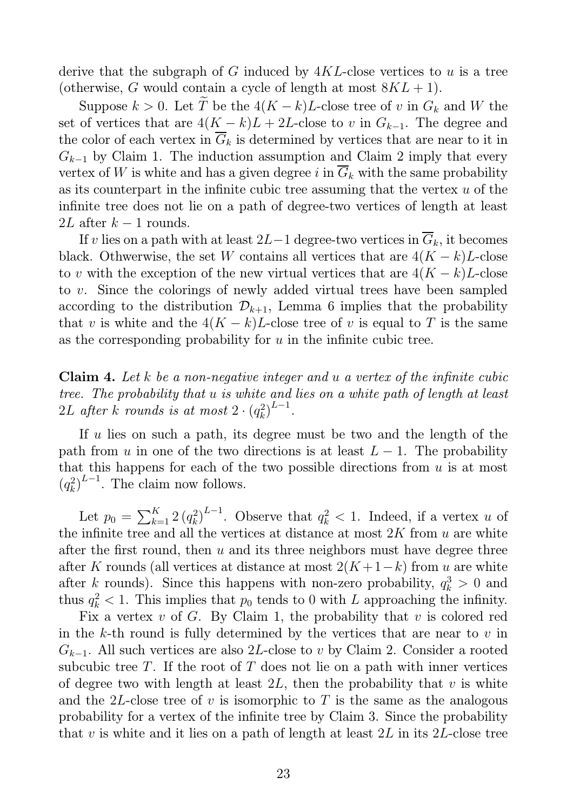derive that the subgraph of G induced by  $4KL$ -close vertices to u is a tree (otherwise, G would contain a cycle of length at most  $8KL + 1$ ).

Suppose  $k > 0$ . Let  $\widetilde{T}$  be the  $4(K - k)L$ -close tree of v in  $G_k$  and W the set of vertices that are  $4(K - k)L + 2L$ -close to v in  $G_{k-1}$ . The degree and the color of each vertex in  $\overline{G}_k$  is determined by vertices that are near to it in  $G_{k-1}$  by Claim 1. The induction assumption and Claim 2 imply that every vertex of W is white and has a given degree i in  $\overline{G}_k$  with the same probability as its counterpart in the infinite cubic tree assuming that the vertex  $u$  of the infinite tree does not lie on a path of degree-two vertices of length at least 2L after  $k-1$  rounds.

If v lies on a path with at least 2L−1 degree-two vertices in  $\overline{G}_k$ , it becomes black. Othwerwise, the set W contains all vertices that are  $4(K - k)L$ -close to v with the exception of the new virtual vertices that are  $4(K - k)L$ -close to v. Since the colorings of newly added virtual trees have been sampled according to the distribution  $\mathcal{D}_{k+1}$ , Lemma 6 implies that the probability that v is white and the  $4(K - k)L$ -close tree of v is equal to T is the same as the corresponding probability for  $u$  in the infinite cubic tree.

**Claim 4.** Let k be a non-negative integer and u a vertex of the infinite cubic tree. The probability that u is white and lies on a white path of length at least  $2L$  after  $k$  rounds is at most  $2\cdot (q_k^2)$  $_{k}^{2}\right) ^{L-1}.$ 

If u lies on such a path, its degree must be two and the length of the path from u in one of the two directions is at least  $L - 1$ . The probability that this happens for each of the two possible directions from  $u$  is at most  $(q_k^2)$  $\binom{2}{k}$ <sup>L-1</sup>. The claim now follows.

Let  $p_0 = \sum_{k=1}^{K} 2 (q_k^2)$  $\binom{2}{k}$ <sup>L-1</sup>. Observe that  $q_k^2 < 1$ . Indeed, if a vertex u of the infinite tree and all the vertices at distance at most  $2K$  from  $u$  are white after the first round, then  $u$  and its three neighbors must have degree three after K rounds (all vertices at distance at most  $2(K+1-k)$  from u are white after k rounds). Since this happens with non-zero probability,  $q_k^3 > 0$  and thus  $q_k^2 < 1$ . This implies that  $p_0$  tends to 0 with L approaching the infinity.

Fix a vertex  $v$  of  $G$ . By Claim 1, the probability that  $v$  is colored red in the k-th round is fully determined by the vertices that are near to  $v$  in  $G_{k-1}$ . All such vertices are also 2L-close to v by Claim 2. Consider a rooted subcubic tree T. If the root of T does not lie on a path with inner vertices of degree two with length at least  $2L$ , then the probability that v is white and the 2L-close tree of v is isomorphic to T is the same as the analogous probability for a vertex of the infinite tree by Claim 3. Since the probability that v is white and it lies on a path of length at least  $2L$  in its  $2L$ -close tree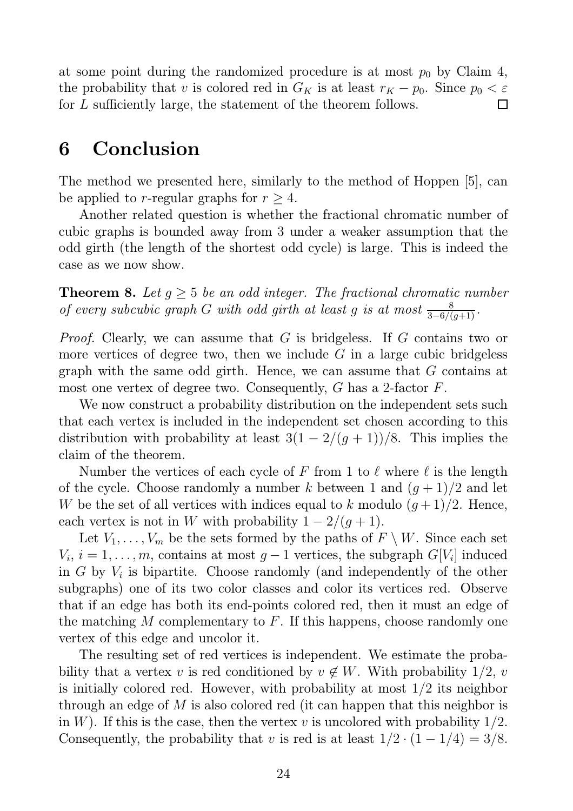at some point during the randomized procedure is at most  $p_0$  by Claim 4, the probability that v is colored red in  $G_K$  is at least  $r_K - p_0$ . Since  $p_0 < \varepsilon$ for L sufficiently large, the statement of the theorem follows.  $\Box$ 

## 6 Conclusion

The method we presented here, similarly to the method of Hoppen [5], can be applied to r-regular graphs for  $r \geq 4$ .

Another related question is whether the fractional chromatic number of cubic graphs is bounded away from 3 under a weaker assumption that the odd girth (the length of the shortest odd cycle) is large. This is indeed the case as we now show.

**Theorem 8.** Let  $g \geq 5$  be an odd integer. The fractional chromatic number of every subcubic graph G with odd girth at least g is at most  $\frac{8}{3-6/(g+1)}$ .

Proof. Clearly, we can assume that G is bridgeless. If G contains two or more vertices of degree two, then we include  $G$  in a large cubic bridgeless graph with the same odd girth. Hence, we can assume that G contains at most one vertex of degree two. Consequently, G has a 2-factor F.

We now construct a probability distribution on the independent sets such that each vertex is included in the independent set chosen according to this distribution with probability at least  $3(1 - 2/(g + 1))/8$ . This implies the claim of the theorem.

Number the vertices of each cycle of F from 1 to  $\ell$  where  $\ell$  is the length of the cycle. Choose randomly a number k between 1 and  $(g+1)/2$  and let W be the set of all vertices with indices equal to k modulo  $(g+1)/2$ . Hence, each vertex is not in W with probability  $1 - 2/(q + 1)$ .

Let  $V_1, \ldots, V_m$  be the sets formed by the paths of  $F \setminus W$ . Since each set  $V_i, i = 1, \ldots, m$ , contains at most  $g-1$  vertices, the subgraph  $G[V_i]$  induced in  $G$  by  $V_i$  is bipartite. Choose randomly (and independently of the other subgraphs) one of its two color classes and color its vertices red. Observe that if an edge has both its end-points colored red, then it must an edge of the matching  $M$  complementary to  $F$ . If this happens, choose randomly one vertex of this edge and uncolor it.

The resulting set of red vertices is independent. We estimate the probability that a vertex v is red conditioned by  $v \notin W$ . With probability 1/2, v is initially colored red. However, with probability at most 1/2 its neighbor through an edge of M is also colored red (it can happen that this neighbor is in W). If this is the case, then the vertex v is uncolored with probability  $1/2$ . Consequently, the probability that v is red is at least  $1/2 \cdot (1 - 1/4) = 3/8$ .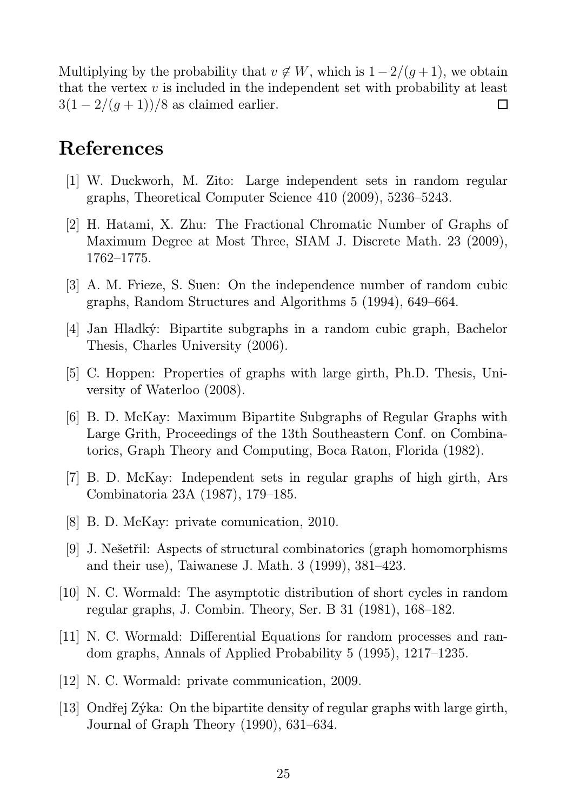Multiplying by the probability that  $v \notin W$ , which is  $1-2/(g+1)$ , we obtain that the vertex  $v$  is included in the independent set with probability at least  $3(1 - 2/(g + 1))/8$  as claimed earlier.  $\Box$ 

## References

- [1] W. Duckworh, M. Zito: Large independent sets in random regular graphs, Theoretical Computer Science 410 (2009), 5236–5243.
- [2] H. Hatami, X. Zhu: The Fractional Chromatic Number of Graphs of Maximum Degree at Most Three, SIAM J. Discrete Math. 23 (2009), 1762–1775.
- [3] A. M. Frieze, S. Suen: On the independence number of random cubic graphs, Random Structures and Algorithms 5 (1994), 649–664.
- [4] Jan Hladký: Bipartite subgraphs in a random cubic graph, Bachelor Thesis, Charles University (2006).
- [5] C. Hoppen: Properties of graphs with large girth, Ph.D. Thesis, University of Waterloo (2008).
- [6] B. D. McKay: Maximum Bipartite Subgraphs of Regular Graphs with Large Grith, Proceedings of the 13th Southeastern Conf. on Combinatorics, Graph Theory and Computing, Boca Raton, Florida (1982).
- [7] B. D. McKay: Independent sets in regular graphs of high girth, Ars Combinatoria 23A (1987), 179–185.
- [8] B. D. McKay: private comunication, 2010.
- [9] J. Nešetřil: Aspects of structural combinatorics (graph homomorphisms and their use), Taiwanese J. Math. 3 (1999), 381–423.
- [10] N. C. Wormald: The asymptotic distribution of short cycles in random regular graphs, J. Combin. Theory, Ser. B 31 (1981), 168–182.
- [11] N. C. Wormald: Differential Equations for random processes and random graphs, Annals of Applied Probability 5 (1995), 1217–1235.
- [12] N. C. Wormald: private communication, 2009.
- [13] Ondřej Zýka: On the bipartite density of regular graphs with large girth, Journal of Graph Theory (1990), 631–634.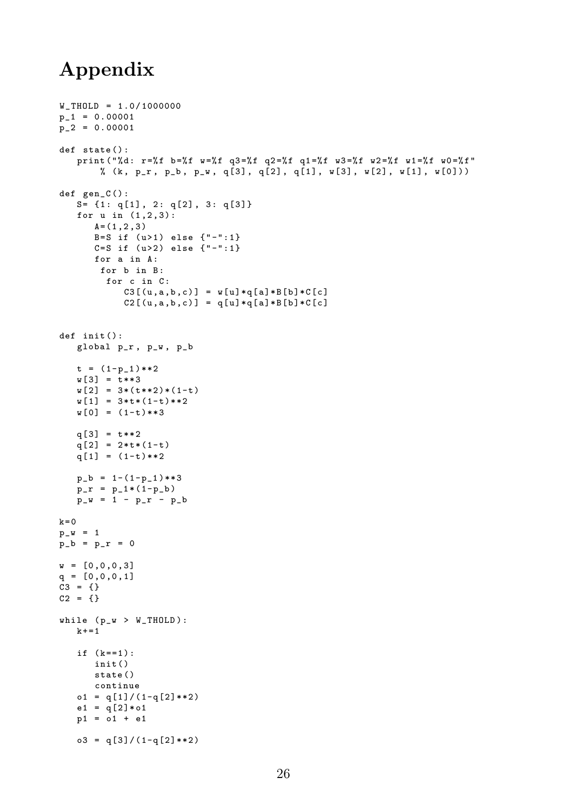## Appendix

```
W<sup>THOLD</sup> = 1.0/1000000
p_1 = 0.00001p_2 = 0.00001def state () :
   print ("%d: r=%f b=%f w =%f q3=%f q2=%f q1=%f w3=%f w2=%f w1=%f w0=%f"
       % (k, p_r, p_b, p_w, q[3], q[2], q[1], w[3], w[2], w[1], w[0]))
def gen_C () :
   S = \{1: q[1], 2: q[2], 3: q[3]\}for u in (1, 2, 3):
      A = (1, 2, 3)B=S if (u>1) else \{ " - " : 1 \}C = S if (u > 2) else \{ " - " : 1 \}for a in A:
       for b in B:
         for c in C:
            C3[(u,a,b,c)] = w[u]*q[a]*B[b]*C[c]
            C2 [ (u, a, b, c)] = q[u] *q[a] *B[b] *C[c]
def init ():
   global p_r , p_w , p_b
   t = (1-p_1)**2w[3] = t**3w[2] = 3*(t**2)*(1-t)w[1] = 3*t*(1-t)*2w[0] = (1-t)**3q[3] = t**2q[2] = 2*t*(1-t)q[1] = (1-t)**2p_b = 1 - (1-p_1) ** 3
   p_r = p_1 * (1-p_b)p_w = 1 - p_r - p_bk = 0p_{w} = 1p_b = p_r = 0w = [0, 0, 0, 3]q = [0, 0, 0, 1]C3 = {1}C2 = { }while (p_w > W_THOLD):
   k + 1if (k == 1):
      init ()
      state ()
      continue
   o1 = q[1]/(1-q[2]**2)e1 = q[2]*01p1 = o1 + e1o3 = q[3]/(1-q[2]**2)
```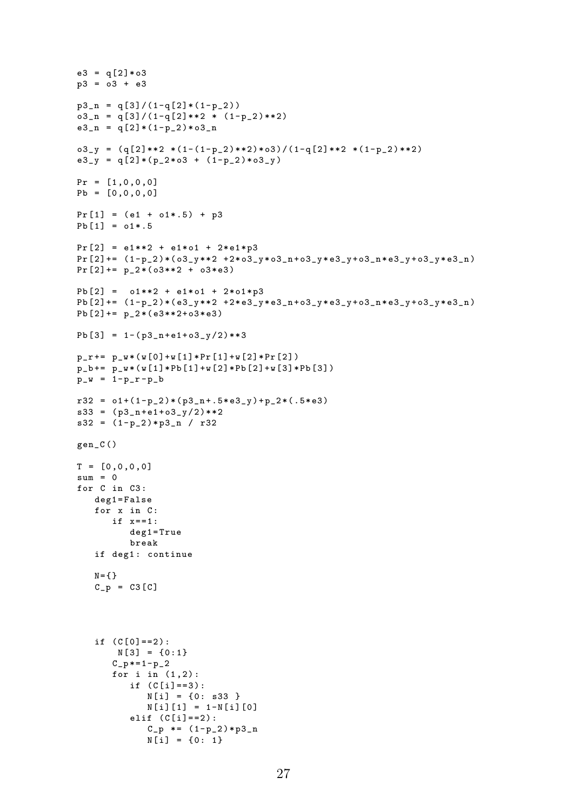```
e3 = q[2]*03p3 = 03 + e3p3_n = q[3]/(1-q[2] * (1-p_2))o3_n = q[3]/(1-q[2]**2 * (1-p_2)**2)e3_n = q[2] * (1-p_2) * o3_no3_y = (q[2]*2 * (1-(1-p_2)*2)*o3) / (1-q[2]*2 * (1-p_2)*2)e3_y = q[2] * (p_2 * 03 + (1-p_2) * 03_y)Pr = [1, 0, 0, 0]Pb = [0, 0, 0, 0]Pr [1] = (e1 + o1*.5) + p3Pb [1] = o1*.5Pr [2] = e1**2 + e1*01 + 2*e1*p3Pr [2] += (1-p_2) * (o3_y * * 2 + 2 * o3_y * o3_n + o3_y * e3_y + o3_n * e3_y + o3_n * e3_n)Pr [2] += p_2 * (o3**2 + o3*e3)Pb [2] = 01**2 + e1*01 + 2*01*p3Pb [2] += (1-p_2) * (e3_y *2 +2* e3_y * e3_n + o3_y * e3_y + o3_n * e3_y + o3_y * e3_n)Pb [2] += p_2 * (e3**2+03*e3)Pb \lceil 3 \rceil = 1 - \frac{1}{63} \text{ n} + \text{e1} + 03 \text{ y} / 2 \times 3p_r += p_w * (w[0] + w[1] * Pr[1] + w[2] * Pr[2])p_b += p_w * (w[1] * Pb[1] + w[2] * Pb[2] + w[3] * Pb[3])p_w = 1 - p_r - p_br32 = o1 + (1-p_2) * (p3_n + .5 * e3_y) + p_2 * (.5 * e3)s33 = (p3_n + e1 + o3_y/2)**2
s32 = (1-p_2) * p3_n / r32gen_C ()
T = [0, 0, 0, 0]sum = 0for C in C3 :
   deg1 = False
    for x in C:
       if x == 1:
           deg1 = True
           break
    if deg1: continue
   N = \{ \}C_p = C3 [C]if (C[0] == 2):
        N [3] = \{0:1\}C_p * = 1 - p_2for i in (1,2):
           if (C[i] == 3):
              N[i] = \{0: s33 \}N[i][1] = 1 - N[i][0]elif (C[i] == 2):
              C_p *= (1-p_2) * p3_nN[i] = \{0: 1\}
```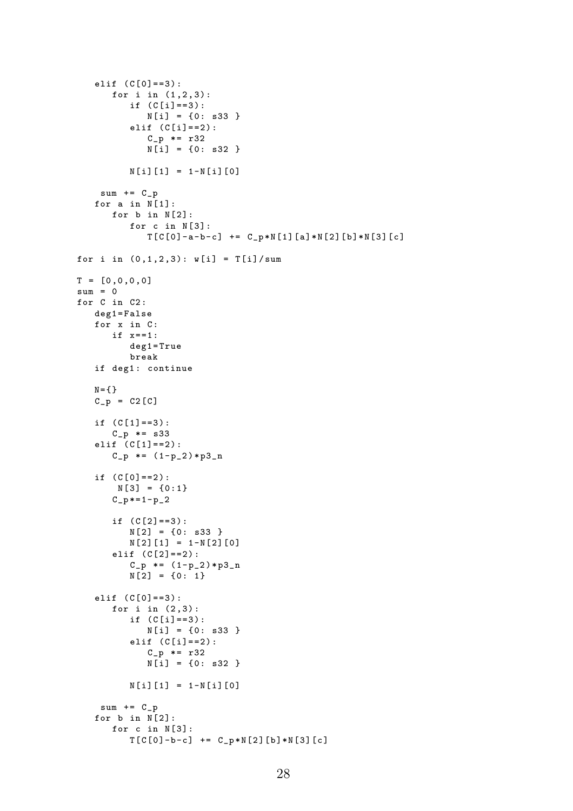```
elif (C[0] == 3):
       for i in (1, 2, 3):
          if (C[i] == 3):
             N[i] = \{0: s33 \}elif (C[i] == 2):
             C_p * = r32
             N[i] = \{0: s32 \}N[i][1] = 1 - N[i][0]sum += C_pfor a in N[1]:
      for b in N[2]:
          for c in N[3]:
             T[C[0] - a - b - c] += C_p * N[1] [a] * N[2] [b] * N[3] [c]for i in (0, 1, 2, 3): w[i] = T[i]/sumT = [0, 0, 0, 0]sum = 0for C in C2 :
   deg1 = False
   for x in C:
      if x == 1:
          deg1 = True
          break
   if deg1: continue
   N = \{\}C_p = C2 [C]if (C[1] == 3):
      C_p * = s33
   elif (C[1] == 2):
      C_p *= (1-p_2) * p3_nif (C[0] == 2):
       N [3] = \{0:1\}C_{p} *= 1 - p_2
       if (C[2] == 3):
          N[2] = \{0: s33 \}N[2][1] = 1 - N[2][0]elif (C[2] == 2):
          C_p *= (1-p_2) * p3_nN[2] = \{0: 1\}elif (C[0] == 3):
       for i in (2,3):
          if (C[i] == 3):
             N[i] = \{0: s33 \}elif (C[i] == 2):
             C_p * = r32
             N[i] = \{0: s32 \}N[i][1] = 1 - N[i][0]sum += C_pfor b in N[2]:
       for c in N[3]:
          T[C[0] - b - c] += C_{p * N[2] [b] * N[3] [c]
```